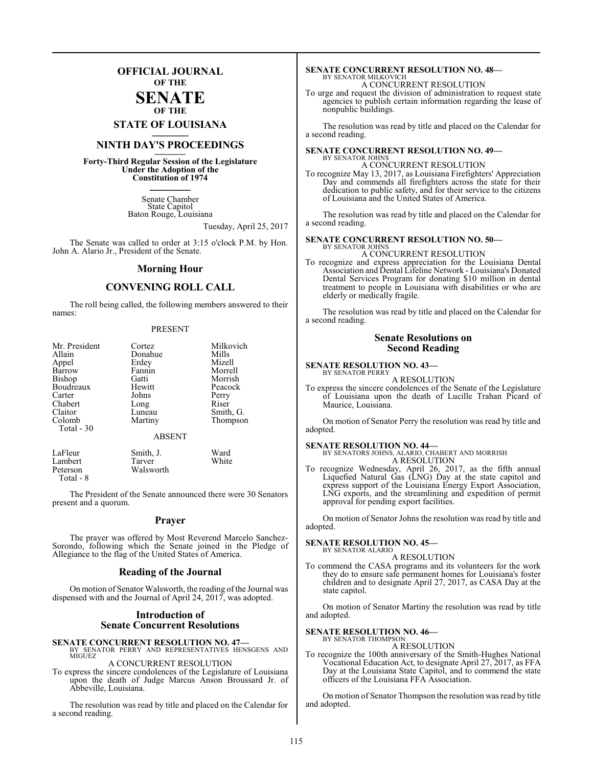### **OFFICIAL JOURNAL OF THE**

#### **SENATE OF THE**

**STATE OF LOUISIANA \_\_\_\_\_\_\_**

### **NINTH DAY'S PROCEEDINGS \_\_\_\_\_\_\_**

**Forty-Third Regular Session of the Legislature Under the Adoption of the Constitution of 1974 \_\_\_\_\_\_\_**

> Senate Chamber State Capitol Baton Rouge, Louisiana

> > Tuesday, April 25, 2017

The Senate was called to order at 3:15 o'clock P.M. by Hon. John A. Alario Jr., President of the Senate.

#### **Morning Hour**

### **CONVENING ROLL CALL**

The roll being called, the following members answered to their names:

#### PRESENT

| Mr. President | Cortez        | Milkovich |
|---------------|---------------|-----------|
| Allain        | Donahue       | Mills     |
| Appel         | Erdey         | Mizell    |
| Barrow        | Fannin        | Morrell   |
| Bishop        | Gatti         | Morrish   |
| Boudreaux     | Hewitt        | Peacock   |
| Carter        | Johns         | Perry     |
| Chabert       | Long          | Riser     |
| Claitor       | Luneau        | Smith, G. |
| Colomb        | Martiny       | Thompson  |
| Total - 30    | <b>ABSENT</b> |           |
| LaFleur       | Smith, J.     | Ward      |
| Lambert       | Tarver        | White     |

Peterson Walsworth Total - 8

The President of the Senate announced there were 30 Senators present and a quorum.

#### **Prayer**

The prayer was offered by Most Reverend Marcelo Sanchez-Sorondo, following which the Senate joined in the Pledge of Allegiance to the flag of the United States of America.

#### **Reading of the Journal**

On motion of Senator Walsworth, the reading of the Journal was dispensed with and the Journal of April 24, 2017, was adopted.

#### **Introduction of Senate Concurrent Resolutions**

**SENATE CONCURRENT RESOLUTION NO. 47—BY SENATOR PERRY AND REPRESENTATIVES HENSGENS AND MIGUEZ** 

#### A CONCURRENT RESOLUTION

To express the sincere condolences of the Legislature of Louisiana upon the death of Judge Marcus Anson Broussard Jr. of Abbeville, Louisiana.

The resolution was read by title and placed on the Calendar for a second reading.

#### **SENATE CONCURRENT RESOLUTION NO. 48—** BY SENATOR MILKOVICH

A CONCURRENT RESOLUTION

To urge and request the division of administration to request state agencies to publish certain information regarding the lease of nonpublic buildings.

The resolution was read by title and placed on the Calendar for a second reading.

#### **SENATE CONCURRENT RESOLUTION NO. 49—** BY SENATOR JOHNS

A CONCURRENT RESOLUTION To recognize May 13, 2017, as Louisiana Firefighters' Appreciation Day and commends all firefighters across the state for their dedication to public safety, and for their service to the citizens of Louisiana and the United States of America.

The resolution was read by title and placed on the Calendar for a second reading.

#### **SENATE CONCURRENT RESOLUTION NO. 50—** BY SENATOR JOHNS

A CONCURRENT RESOLUTION

To recognize and express appreciation for the Louisiana Dental Association and Dental Lifeline Network - Louisiana's Donated Dental Services Program for donating \$10 million in dental treatment to people in Louisiana with disabilities or who are elderly or medically fragile.

The resolution was read by title and placed on the Calendar for a second reading.

#### **Senate Resolutions on Second Reading**

#### **SENATE RESOLUTION NO. 43—** BY SENATOR PERRY

A RESOLUTION

To express the sincere condolences of the Senate of the Legislature of Louisiana upon the death of Lucille Trahan Picard of Maurice, Louisiana.

On motion of Senator Perry the resolution was read by title and adopted.

**SENATE RESOLUTION NO. 44—** BY SENATORS JOHNS, ALARIO, CHABERT AND MORRISH A RESOLUTION

To recognize Wednesday, April 26, 2017, as the fifth annual Liquefied Natural Gas (LNG) Day at the state capitol and express support of the Louisiana Energy Export Association, LNG exports, and the streamlining and expedition of permit approval for pending export facilities.

On motion of Senator Johns the resolution was read by title and adopted.

## **SENATE RESOLUTION NO. 45—** BY SENATOR ALARIO

A RESOLUTION

To commend the CASA programs and its volunteers for the work they do to ensure safe permanent homes for Louisiana's foster children and to designate April 27, 2017, as CASA Day at the state capitol.

On motion of Senator Martiny the resolution was read by title and adopted.

#### **SENATE RESOLUTION NO. 46—** BY SENATOR THOMPSON

A RESOLUTION

To recognize the 100th anniversary of the Smith-Hughes National Vocational Education Act, to designate April 27, 2017, as FFA Day at the Louisiana State Capitol, and to commend the state officers of the Louisiana FFA Association.

On motion of Senator Thompson the resolution was read by title and adopted.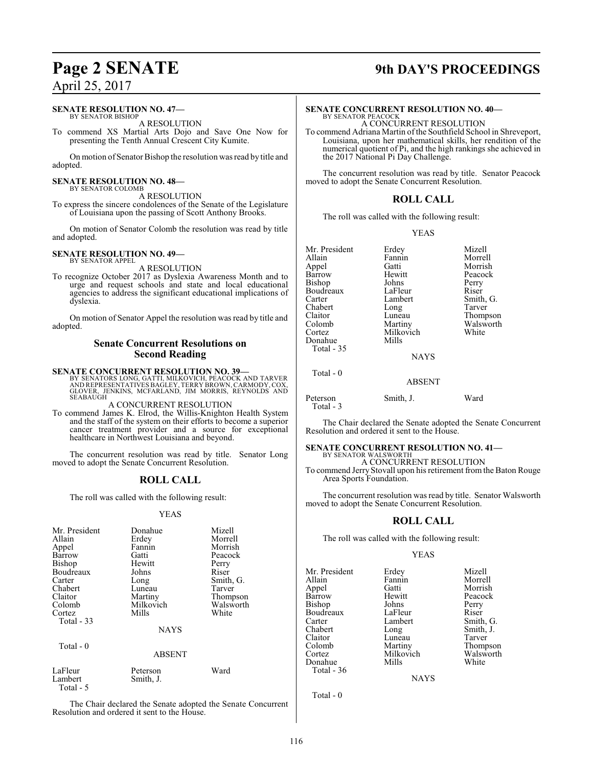#### **SENATE RESOLUTION NO. 47—**

BY SENATOR BISHOP A RESOLUTION

To commend XS Martial Arts Dojo and Save One Now for presenting the Tenth Annual Crescent City Kumite.

On motion of Senator Bishop the resolution was read by title and adopted.

#### **SENATE RESOLUTION NO. 48—** BY SENATOR COLOMB

A RESOLUTION

To express the sincere condolences of the Senate of the Legislature of Louisiana upon the passing of Scott Anthony Brooks.

On motion of Senator Colomb the resolution was read by title and adopted.

#### **SENATE RESOLUTION NO. 49—**

BY SENATOR APPEL A RESOLUTION

To recognize October 2017 as Dyslexia Awareness Month and to urge and request schools and state and local educational agencies to address the significant educational implications of dyslexia.

On motion of Senator Appel the resolution was read by title and adopted.

#### **Senate Concurrent Resolutions on Second Reading**

**SENATE CONCURRENT RESOLUTION NO. 39—**<br>BY SENATORS LONG, GATTI, MILKOVICH, PEACOCK AND TARVER<br>AND REPRESENTATIVES BAGLEY, TERRY BROWN, CARMODY, COX,<br>GLOVER, JENKINS, MCFARLAND, JIM MORRIS, REYNOLDS AND<br>SEABAUGH

#### A CONCURRENT RESOLUTION

To commend James K. Elrod, the Willis-Knighton Health System and the staff of the system on their efforts to become a superior cancer treatment provider and a source for exceptional healthcare in Northwest Louisiana and beyond.

The concurrent resolution was read by title. Senator Long moved to adopt the Senate Concurrent Resolution.

### **ROLL CALL**

The roll was called with the following result:

#### YEAS

| Mr. President | Donahue       | Mizell    |
|---------------|---------------|-----------|
| Allain        | Erdey         | Morrell   |
| Appel         | Fannin        | Morrish   |
| Barrow        | Gatti         | Peacock   |
| <b>Bishop</b> | Hewitt        | Perry     |
| Boudreaux     | Johns         | Riser     |
| Carter        | Long          | Smith, G. |
| Chabert       | Luneau        | Tarver    |
| Claitor       | Martiny       | Thompson  |
| Colomb        | Milkovich     | Walsworth |
| Cortez        | Mills         | White     |
| Total $-33$   |               |           |
|               | <b>NAYS</b>   |           |
| Total $-0$    |               |           |
|               | <b>ABSENT</b> |           |
| LaFleur       | Peterson      | Ward      |
| Lambert       | Smith, J.     |           |

Total - 5

The Chair declared the Senate adopted the Senate Concurrent Resolution and ordered it sent to the House.

## **Page 2 SENATE 9th DAY'S PROCEEDINGS**

### **SENATE CONCURRENT RESOLUTION NO. 40—**

BY SENATOR PEACOCK A CONCURRENT RESOLUTION

To commend Adriana Martin of the Southfield School in Shreveport, Louisiana, upon her mathematical skills, her rendition of the numerical quotient of Pi, and the high rankings she achieved in the 2017 National Pi Day Challenge.

The concurrent resolution was read by title. Senator Peacock moved to adopt the Senate Concurrent Resolution.

### **ROLL CALL**

The roll was called with the following result:

#### YEAS

| Mr. President<br>Allain<br>Appel<br>Barrow<br>Bishop<br>Boudreaux<br>Carter<br>Chabert<br>Claitor<br>Colomb<br>Cortez<br>Donahue<br>Total $-35$ | Erdey<br>Fannin<br>Gatti<br>Hewitt<br>Johns<br>LaFleur<br>Lambert<br>Long<br>Luneau<br>Martiny<br>Milkovich<br>Mills<br><b>NAYS</b> | Mizell<br>Morrell<br>Morrish<br>Peacock<br>Perry<br>Riser<br>Smith, G.<br>Tarver<br>Thompson<br>Walsworth<br>White |
|-------------------------------------------------------------------------------------------------------------------------------------------------|-------------------------------------------------------------------------------------------------------------------------------------|--------------------------------------------------------------------------------------------------------------------|
| Total $-0$                                                                                                                                      | <b>ABSENT</b>                                                                                                                       |                                                                                                                    |

Peterson Smith, J. Ward Total - 3

The Chair declared the Senate adopted the Senate Concurrent Resolution and ordered it sent to the House.

**SENATE CONCURRENT RESOLUTION NO. 41—** BY SENATOR WALSWORTH

A CONCURRENT RESOLUTION To commend Jerry Stovall upon his retirement fromthe Baton Rouge Area Sports Foundation.

The concurrent resolution was read by title. Senator Walsworth moved to adopt the Senate Concurrent Resolution.

### **ROLL CALL**

The roll was called with the following result:

#### YEAS

| Mr. President                   | Erdey              | Mizell             |
|---------------------------------|--------------------|--------------------|
| Allain                          | Fannin             | Morrell            |
| Appel                           | Gatti              | Morrish            |
| Barrow                          | Hewitt             | Peacock            |
| Bishop                          | Johns              | Perry              |
| Boudreaux                       | LaFleur            | Riser              |
| Carter                          | Lambert            | Smith, G.          |
| Chabert                         | Long               | Smith, J.          |
| Claitor                         | Luneau             | Tarver             |
| Colomb                          | Martiny            | Thompson           |
| Cortez<br>Donahue<br>Total - 36 | Milkovich<br>Mills | Walsworth<br>White |

**NAYS** 

Total - 0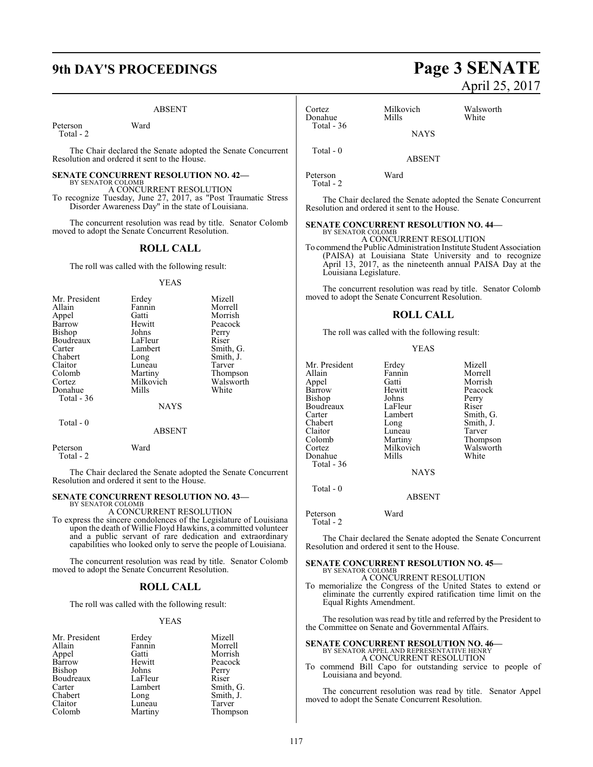#### ABSENT

Peterson Ward Total - 2

The Chair declared the Senate adopted the Senate Concurrent Resolution and ordered it sent to the House.

#### **SENATE CONCURRENT RESOLUTION NO. 42—** BY SENATOR COLOMB A CONCURRENT RESOLUTION

To recognize Tuesday, June 27, 2017, as "Post Traumatic Stress Disorder Awareness Day" in the state of Louisiana.

The concurrent resolution was read by title. Senator Colomb moved to adopt the Senate Concurrent Resolution.

#### **ROLL CALL**

The roll was called with the following result:

#### YEAS

| Mr. President | Erdey       | Mizell    |
|---------------|-------------|-----------|
| Allain        | Fannin      | Morrell   |
| Appel         | Gatti       | Morrish   |
| Barrow        | Hewitt      | Peacock   |
| Bishop        | Johns       | Perry     |
| Boudreaux     | LaFleur     | Riser     |
| Carter        | Lambert     | Smith, G. |
| Chabert       | Long        | Smith, J. |
| Claitor       | Luneau      | Tarver    |
| Colomb        | Martiny     | Thompson  |
| Cortez        | Milkovich   | Walsworth |
| Donahue       | Mills       | White     |
| Total - 36    |             |           |
|               | <b>NAYS</b> |           |

Total - 0

Total - 2

Peterson Ward

#### ABSENT

The Chair declared the Senate adopted the Senate Concurrent Resolution and ordered it sent to the House.

#### **SENATE CONCURRENT RESOLUTION NO. 43—**

BY SENATOR COLOMB A CONCURRENT RESOLUTION

To express the sincere condolences of the Legislature of Louisiana upon the death of Willie Floyd Hawkins, a committed volunteer and a public servant of rare dedication and extraordinary capabilities who looked only to serve the people of Louisiana.

The concurrent resolution was read by title. Senator Colomb moved to adopt the Senate Concurrent Resolution.

#### **ROLL CALL**

The roll was called with the following result:

#### YEAS

| Mr. President | Erdey   | Mizell    |
|---------------|---------|-----------|
| Allain        | Fannin  | Morrell   |
| Appel         | Gatti   | Morrish   |
| Barrow        | Hewitt  | Peacock   |
| <b>Bishop</b> | Johns   | Perry     |
| Boudreaux     | LaFleur | Riser     |
| Carter        | Lambert | Smith, G. |
| Chabert       | Long    | Smith, J. |
| Claitor       | Luneau  | Tarver    |
| Colomb        | Martiny | Thompson  |
|               |         |           |

### Cortez Milkovich Walsworth Donahue Total - 36 **NAYS**

Peterson Ward Total - 2

Total - 0

The Chair declared the Senate adopted the Senate Concurrent Resolution and ordered it sent to the House.

ABSENT

### **SENATE CONCURRENT RESOLUTION NO. 44—**

BY SENATOR COLOMB A CONCURRENT RESOLUTION

To commend the Public Administration Institute Student Association (PAISA) at Louisiana State University and to recognize April 13, 2017, as the nineteenth annual PAISA Day at the Louisiana Legislature.

The concurrent resolution was read by title. Senator Colomb moved to adopt the Senate Concurrent Resolution.

#### **ROLL CALL**

The roll was called with the following result:

#### YEAS

| Mr. President | Erdey     | Mizell    |
|---------------|-----------|-----------|
| Allain        | Fannin    | Morrell   |
|               |           |           |
| Appel         | Gatti     | Morrish   |
| Barrow        | Hewitt    | Peacock   |
| Bishop        | Johns     | Perry     |
| Boudreaux     | LaFleur   | Riser     |
| Carter        | Lambert   | Smith, G. |
| Chabert       | Long      | Smith, J. |
| Claitor       | Luneau    | Tarver    |
| Colomb        | Martiny   | Thompson  |
| Cortez        | Milkovich | Walsworth |
| Donahue       | Mills     | White     |
| Total - 36    |           |           |
|               | NAYS      |           |

Total - 0

ABSENT

Peterson Ward Total - 2

The Chair declared the Senate adopted the Senate Concurrent Resolution and ordered it sent to the House.

#### **SENATE CONCURRENT RESOLUTION NO. 45—** BY SENATOR COLOMB

#### A CONCURRENT RESOLUTION

To memorialize the Congress of the United States to extend or eliminate the currently expired ratification time limit on the Equal Rights Amendment.

The resolution was read by title and referred by the President to the Committee on Senate and Governmental Affairs.

### **SENATE CONCURRENT RESOLUTION NO. 46—** BY SENATOR APPEL AND REPRESENTATIVE HENRY A CONCURRENT RESOLUTION

To commend Bill Capo for outstanding service to people of Louisiana and beyond.

The concurrent resolution was read by title. Senator Appel moved to adopt the Senate Concurrent Resolution.

# **9th DAY'S PROCEEDINGS Page 3 SENATE** April 25, 2017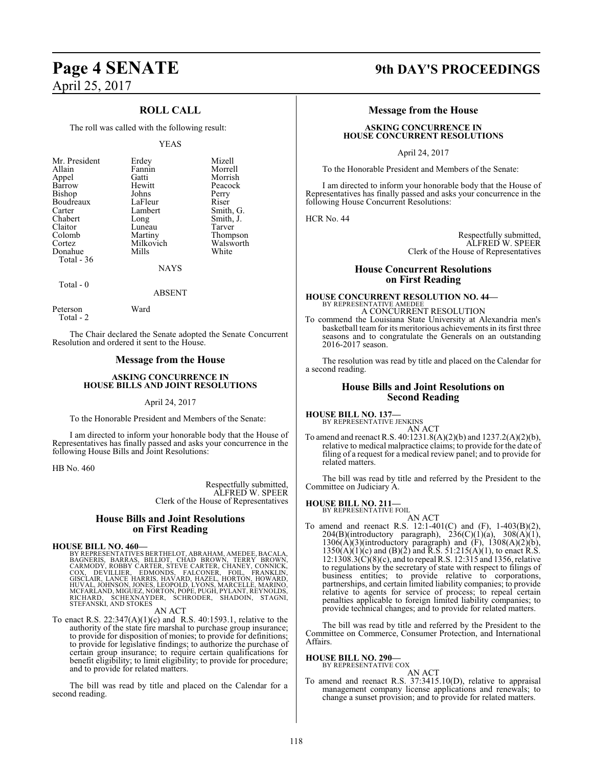### **ROLL CALL**

The roll was called with the following result:

#### YEAS

| Erdey<br>Fannin<br>Gatti<br>Hewitt<br>Johns<br>LaFleur<br>Lambert<br>Long<br>Luneau | Morrell<br>Morrish<br>Peacock<br>Perry<br>Riser<br>Smith, G.<br>Smith, J.<br>Tarver |
|-------------------------------------------------------------------------------------|-------------------------------------------------------------------------------------|
|                                                                                     |                                                                                     |
|                                                                                     |                                                                                     |
|                                                                                     |                                                                                     |
|                                                                                     |                                                                                     |
|                                                                                     |                                                                                     |
| Martiny                                                                             | Thompson                                                                            |
| Milkovich                                                                           | Walsworth                                                                           |
| Mills                                                                               | White                                                                               |
|                                                                                     |                                                                                     |
| <b>NAYS</b>                                                                         |                                                                                     |
|                                                                                     |                                                                                     |

### ABSENT

Peterson Ward Total - 2

Total - 0

The Chair declared the Senate adopted the Senate Concurrent Resolution and ordered it sent to the House.

#### **Message from the House**

#### **ASKING CONCURRENCE IN HOUSE BILLS AND JOINT RESOLUTIONS**

#### April 24, 2017

To the Honorable President and Members of the Senate:

I am directed to inform your honorable body that the House of Representatives has finally passed and asks your concurrence in the following House Bills and Joint Resolutions:

HB No. 460

Respectfully submitted, ALFRED W. SPEER Clerk of the House of Representatives

#### **House Bills and Joint Resolutions on First Reading**

**HOUSE BILL NO. 460—**<br>BY REPRESENTATIVES BERTHELOT, ABRAHAM, AMEDEE, BACALA,<br>BAGNERIS, BARAS, BILLIOT, CHAD BROWN, TERRY BROWN,<br>CARMODY, ROBBY CARTER, STEVE CARTER, CHANEY, CONNICK,<br>COX, DEVILLIER, EDMONDS, FALCONER, FOIL, RICHARD, ŚCHEXNÁYDER, ŚCHRÓDER, SHADOIN, STAGNI,<br>STEFANSKI,ANDSTOKES

AN ACT

To enact R.S. 22:347(A)(1)(c) and R.S. 40:1593.1, relative to the authority of the state fire marshal to purchase group insurance; to provide for disposition of monies; to provide for definitions; to provide for legislative findings; to authorize the purchase of certain group insurance; to require certain qualifications for benefit eligibility; to limit eligibility; to provide for procedure; and to provide for related matters.

The bill was read by title and placed on the Calendar for a second reading.

### **Page 4 SENATE 9th DAY'S PROCEEDINGS**

#### **Message from the House**

#### **ASKING CONCURRENCE IN HOUSE CONCURRENT RESOLUTIONS**

April 24, 2017

To the Honorable President and Members of the Senate:

I am directed to inform your honorable body that the House of Representatives has finally passed and asks your concurrence in the following House Concurrent Resolutions:

HCR No. 44

Respectfully submitted, ALFRED W. SPEER Clerk of the House of Representatives

#### **House Concurrent Resolutions on First Reading**

### **HOUSE CONCURRENT RESOLUTION NO. 44—** BY REPRESENTATIVE AMEDEE A CONCURRENT RESOLUTION

To commend the Louisiana State University at Alexandria men's basketball team for its meritorious achievements in its first three seasons and to congratulate the Generals on an outstanding 2016-2017 season.

The resolution was read by title and placed on the Calendar for a second reading.

#### **House Bills and Joint Resolutions on Second Reading**

## **HOUSE BILL NO. 137—** BY REPRESENTATIVE JENKINS

AN ACT

To amend and reenact R.S. 40:1231.8(A)(2)(b) and 1237.2(A)(2)(b), relative to medical malpractice claims; to provide for the date of filing of a request for a medical review panel; and to provide for related matters.

The bill was read by title and referred by the President to the Committee on Judiciary A.

#### **HOUSE BILL NO. 211—**

BY REPRESENTATIVE FOIL

AN ACT To amend and reenact R.S. 12:1-401(C) and (F), 1-403(B)(2),  $204(B)$ (introductory paragraph),  $236(C)(1)(a)$ ,  $308(A)(1)$ ,  $1306(A)(3)$ (introductory paragraph) and  $(F)$ ,  $1308(A)(2)(b)$ ,  $1350(A)(1)(c)$  and  $(B)(2)$  and R.S.  $51:215(A)(1)$ , to enact R.S. 12:1308.3(C)(8)(c), and to repeal R.S. 12:315 and 1356, relative to regulations by the secretary of state with respect to filings of business entities; to provide relative to corporations, partnerships, and certain limited liability companies; to provide relative to agents for service of process; to repeal certain penalties applicable to foreign limited liability companies; to provide technical changes; and to provide for related matters.

The bill was read by title and referred by the President to the Committee on Commerce, Consumer Protection, and International Affairs.

**HOUSE BILL NO. 290—** BY REPRESENTATIVE COX

AN ACT

To amend and reenact R.S. 37:3415.10(D), relative to appraisal management company license applications and renewals; to change a sunset provision; and to provide for related matters.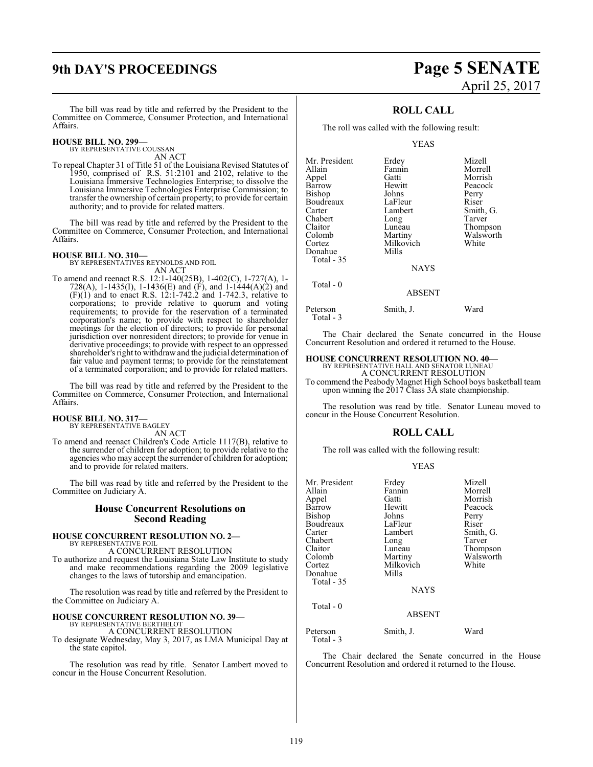# **9th DAY'S PROCEEDINGS Page 5 SENATE**

The bill was read by title and referred by the President to the Committee on Commerce, Consumer Protection, and International Affairs.

### **HOUSE BILL NO. 299—**

BY REPRESENTATIVE COUSSAN AN ACT

To repeal Chapter 31 of Title 51 of the Louisiana Revised Statutes of 1950, comprised of R.S. 51:2101 and 2102, relative to the Louisiana Immersive Technologies Enterprise; to dissolve the Louisiana Immersive Technologies Enterprise Commission; to transfer the ownership of certain property; to provide for certain authority; and to provide for related matters.

The bill was read by title and referred by the President to the Committee on Commerce, Consumer Protection, and International Affairs.

**HOUSE BILL NO. 310—** BY REPRESENTATIVES REYNOLDS AND FOIL AN ACT

To amend and reenact R.S. 12:1-140(25B), 1-402(C), 1-727(A), 1- 728(A), 1-1435(I), 1-1436(E) and (F), and 1-1444(A)(2) and (F)(1) and to enact R.S. 12:1-742.2 and 1-742.3, relative to corporations; to provide relative to quorum and voting requirements; to provide for the reservation of a terminated corporation's name; to provide with respect to shareholder meetings for the election of directors; to provide for personal jurisdiction over nonresident directors; to provide for venue in derivative proceedings; to provide with respect to an oppressed shareholder's right to withdraw and the judicial determination of fair value and payment terms; to provide for the reinstatement of a terminated corporation; and to provide for related matters.

The bill was read by title and referred by the President to the Committee on Commerce, Consumer Protection, and International Affairs.

#### **HOUSE BILL NO. 317—** BY REPRESENTATIVE BAGLEY

AN ACT

To amend and reenact Children's Code Article 1117(B), relative to the surrender of children for adoption; to provide relative to the agencies who may accept the surrender of children for adoption; and to provide for related matters.

The bill was read by title and referred by the President to the Committee on Judiciary A.

#### **House Concurrent Resolutions on Second Reading**

#### **HOUSE CONCURRENT RESOLUTION NO. 2—** BY REPRESENTATIVE FOIL

A CONCURRENT RESOLUTION

To authorize and request the Louisiana State Law Institute to study and make recommendations regarding the 2009 legislative changes to the laws of tutorship and emancipation.

The resolution was read by title and referred by the President to the Committee on Judiciary A.

#### **HOUSE CONCURRENT RESOLUTION NO. 39—**

BY REPRESENTATIVE BERTHELO A CONCURRENT RESOLUTION

To designate Wednesday, May 3, 2017, as LMA Municipal Day at the state capitol.

The resolution was read by title. Senator Lambert moved to concur in the House Concurrent Resolution.

# April 25, 2017

### **ROLL CALL**

The roll was called with the following result:

YEAS

| Mr. President | Erdey       | Mizell    |
|---------------|-------------|-----------|
| Allain        | Fannin      | Morrell   |
| Appel         | Gatti       | Morrish   |
| Barrow        | Hewitt      | Peacock   |
| Bishop        | Johns       | Perry     |
| Boudreaux     | LaFleur     | Riser     |
| Carter        | Lambert     | Smith, G. |
| Chabert       | Long        | Tarver    |
| Claitor       | Luneau      | Thompson  |
| Colomb        | Martiny     | Walsworth |
| Cortez        | Milkovich   | White     |
| Donahue       | Mills       |           |
| Total $-35$   |             |           |
|               | <b>NAYS</b> |           |
| Total - 0     |             |           |
|               | ABSENT      |           |

Peterson Smith, J. Ward Total - 3

The Chair declared the Senate concurred in the House Concurrent Resolution and ordered it returned to the House.

# **HOUSE CONCURRENT RESOLUTION NO. 40—** BY REPRESENTATIVE HALL AND SENATOR LUNEAU

A CONCURRENT RESOLUTION To commend the Peabody Magnet High School boys basketball team upon winning the  $2017$  Class  $3\overline{A}$  state championship.

The resolution was read by title. Senator Luneau moved to concur in the House Concurrent Resolution.

### **ROLL CALL**

The roll was called with the following result:

|--|

|               | Mizell                                                      |
|---------------|-------------------------------------------------------------|
| Fannin        | Morrell                                                     |
| Gatti         | Morrish                                                     |
| Hewitt        | Peacock                                                     |
|               | Perry                                                       |
| LaFleur       | Riser                                                       |
| Lambert       | Smith, G.                                                   |
|               | Tarver                                                      |
| Luneau        | Thompson                                                    |
|               | Walsworth                                                   |
|               | White                                                       |
| Mills         |                                                             |
|               |                                                             |
| <b>NAYS</b>   |                                                             |
|               |                                                             |
| <b>ABSENT</b> |                                                             |
|               | Ward                                                        |
|               | Erdey<br>Johns<br>Long<br>Martiny<br>Milkovich<br>Smith, J. |

Total - 3

The Chair declared the Senate concurred in the House Concurrent Resolution and ordered it returned to the House.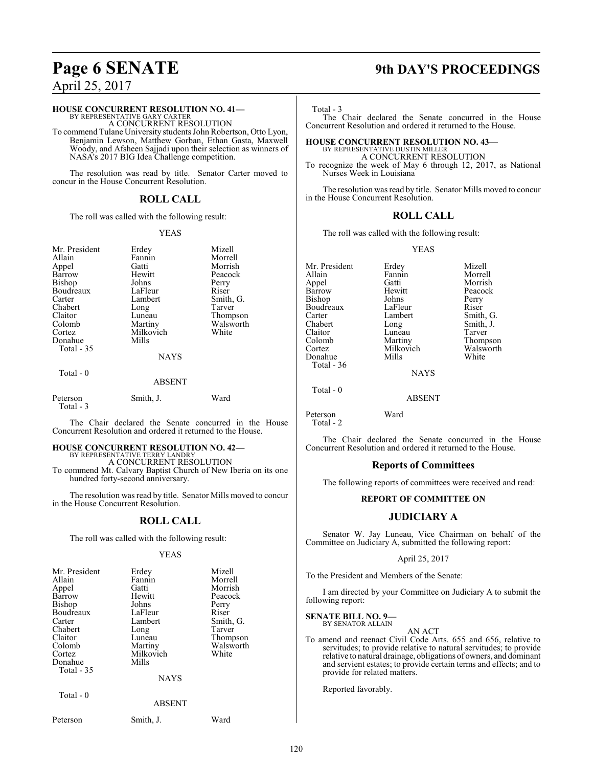#### **HOUSE CONCURRENT RESOLUTION NO. 41—**

BY REPRESENTATIVE GARY CARTER A CONCURRENT RESOLUTION

To commend Tulane University students John Robertson, Otto Lyon, Benjamin Lewson, Matthew Gorban, Ethan Gasta, Maxwell Woody, and Afsheen Sajjadi upon their selection as winners of NASA's 2017 BIG Idea Challenge competition.

The resolution was read by title. Senator Carter moved to concur in the House Concurrent Resolution.

### **ROLL CALL**

The roll was called with the following result:

#### YEAS

| Mr. President<br>Allain<br>Appel<br>Barrow<br>Bishop<br>Boudreaux<br>Carter<br>Chabert<br>Claitor<br>Colomb<br>Cortez | Erdey<br>Fannin<br>Gatti<br>Hewitt<br>Johns<br>LaFleur<br>Lambert<br>Long<br>Luneau<br>Martiny<br>Milkovich | Mizell<br>Morrell<br>Morrish<br>Peacock<br>Perry<br>Riser<br>Smith, G.<br>Tarver<br>Thompson<br>Walsworth<br>White |
|-----------------------------------------------------------------------------------------------------------------------|-------------------------------------------------------------------------------------------------------------|--------------------------------------------------------------------------------------------------------------------|
| Donahue<br>Total $-35$                                                                                                | Mills<br><b>NAYS</b>                                                                                        |                                                                                                                    |
| Total $-0$                                                                                                            | <b>ABSENT</b>                                                                                               |                                                                                                                    |
| Peterson<br>Total - 3                                                                                                 | Smith, J.                                                                                                   | Ward                                                                                                               |

The Chair declared the Senate concurred in the House Concurrent Resolution and ordered it returned to the House.

#### **HOUSE CONCURRENT RESOLUTION NO. 42—** BY REPRESENTATIVE TERRY LANDRY

A CONCURRENT RESOLUTION

To commend Mt. Calvary Baptist Church of New Iberia on its one hundred forty-second anniversary.

The resolution was read by title. Senator Mills moved to concur in the House Concurrent Resolution.

#### **ROLL CALL**

The roll was called with the following result:

#### YEAS

| Mr. President | Erdey         | Mizell    |
|---------------|---------------|-----------|
| Allain        | Fannin        | Morrell   |
| Appel         | Gatti         | Morrish   |
| <b>Barrow</b> | Hewitt        | Peacock   |
| Bishop        | Johns         | Perry     |
| Boudreaux     | LaFleur       | Riser     |
| Carter        | Lambert       | Smith, G. |
| Chabert       | Long          | Tarver    |
| Claitor       | Luneau        | Thompson  |
| Colomb        | Martiny       | Walsworth |
| Cortez        | Milkovich     | White     |
| Donahue       | Mills         |           |
| Total - 35    |               |           |
|               | <b>NAYS</b>   |           |
| Total - 0     |               |           |
|               | <b>ABSENT</b> |           |
| Peterson      | Smith, J.     | Ward      |

# **Page 6 SENATE 9th DAY'S PROCEEDINGS**

Total - 3

The Chair declared the Senate concurred in the House Concurrent Resolution and ordered it returned to the House.

### **HOUSE CONCURRENT RESOLUTION NO. 43—** BY REPRESENTATIVE DUSTIN MILLER A CONCURRENT RESOLUTION

To recognize the week of May 6 through 12, 2017, as National Nurses Week in Louisiana

The resolution was read by title. Senator Mills moved to concur in the House Concurrent Resolution.

#### **ROLL CALL**

The roll was called with the following result:

#### YEAS

Mr. President Erdey Mizell<br>Allain Fannin Morrel Fannin Morrell<br>Gatti Morrish Appel Gatti<br>Barrow Hewitt Hewitt Peacock<br>Johns Perry Bishop Johns Perry<br>Boudreaux LaFleur Riser Boudreaux LaFleur<br>Carter Lambert Carter Lambert Smith, G.<br>Chabert Long Smith, J. Chabert Long Smith, J.<br>Claitor Luneau Tarver Claitor Luneau<br>Colomb Martiny Colomb Martiny Thompson Milkovich Walsworth Walsworth Donahue Total - 36 NAYS

Peterson Ward Total - 2

Total - 0

The Chair declared the Senate concurred in the House Concurrent Resolution and ordered it returned to the House.

ABSENT

#### **Reports of Committees**

The following reports of committees were received and read:

#### **REPORT OF COMMITTEE ON**

### **JUDICIARY A**

Senator W. Jay Luneau, Vice Chairman on behalf of the Committee on Judiciary A, submitted the following report:

#### April 25, 2017

To the President and Members of the Senate:

I am directed by your Committee on Judiciary A to submit the following report:

#### **SENATE BILL NO. 9—** BY SENATOR ALLAIN

AN ACT

To amend and reenact Civil Code Arts. 655 and 656, relative to servitudes; to provide relative to natural servitudes; to provide relative to natural drainage, obligations of owners, and dominant and servient estates; to provide certain terms and effects; and to provide for related matters.

Reported favorably.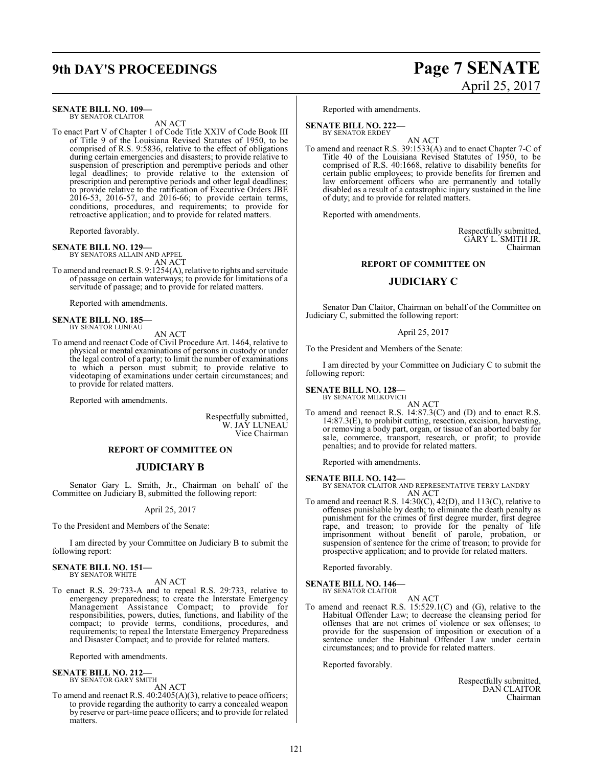# **9th DAY'S PROCEEDINGS Page 7 SENATE**

#### **SENATE BILL NO. 109—**

BY SENATOR CLAITOR AN ACT

To enact Part V of Chapter 1 of Code Title XXIV of Code Book III of Title 9 of the Louisiana Revised Statutes of 1950, to be comprised of R.S. 9:5836, relative to the effect of obligations during certain emergencies and disasters; to provide relative to suspension of prescription and peremptive periods and other legal deadlines; to provide relative to the extension of prescription and peremptive periods and other legal deadlines; to provide relative to the ratification of Executive Orders JBE 2016-53, 2016-57, and 2016-66; to provide certain terms, conditions, procedures, and requirements; to provide for retroactive application; and to provide for related matters.

Reported favorably.

#### **SENATE BILL NO. 129—**

BY SENATORS ALLAIN AND APPEL AN ACT

To amend and reenact R.S. 9:1254(A), relative to rights and servitude of passage on certain waterways; to provide for limitations of a servitude of passage; and to provide for related matters.

Reported with amendments.

**SENATE BILL NO. 185** BY SENATOR LUNEAU

AN ACT

To amend and reenact Code of Civil Procedure Art. 1464, relative to physical or mental examinations of persons in custody or under the legal control of a party; to limit the number of examinations to which a person must submit; to provide relative to videotaping of examinations under certain circumstances; and to provide for related matters.

Reported with amendments.

Respectfully submitted, W. JAY LUNEAU Vice Chairman

#### **REPORT OF COMMITTEE ON**

#### **JUDICIARY B**

Senator Gary L. Smith, Jr., Chairman on behalf of the Committee on Judiciary B, submitted the following report:

April 25, 2017

To the President and Members of the Senate:

I am directed by your Committee on Judiciary B to submit the following report:

#### **SENATE BILL NO. 151—** BY SENATOR WHITE

AN ACT

To enact R.S. 29:733-A and to repeal R.S. 29:733, relative to emergency preparedness; to create the Interstate Emergency Management Assistance Compact; to provide for responsibilities, powers, duties, functions, and liability of the compact; to provide terms, conditions, procedures, and requirements; to repeal the Interstate Emergency Preparedness and Disaster Compact; and to provide for related matters.

Reported with amendments.

#### **SENATE BILL NO. 212—** BY SENATOR GARY SMITH

AN ACT

To amend and reenact R.S. 40:2405(A)(3), relative to peace officers; to provide regarding the authority to carry a concealed weapon by reserve or part-time peace officers; and to provide for related matters.

# April 25, 2017

Reported with amendments.

#### **SENATE BILL NO. 222—** BY SENATOR ERDEY

AN ACT To amend and reenact R.S. 39:1533(A) and to enact Chapter 7-C of Title 40 of the Louisiana Revised Statutes of 1950, to be comprised of R.S. 40:1668, relative to disability benefits for certain public employees; to provide benefits for firemen and law enforcement officers who are permanently and totally disabled as a result of a catastrophic injury sustained in the line of duty; and to provide for related matters.

Reported with amendments.

Respectfully submitted, GARY L. SMITH JR. Chairman

#### **REPORT OF COMMITTEE ON**

#### **JUDICIARY C**

Senator Dan Claitor, Chairman on behalf of the Committee on Judiciary C, submitted the following report:

#### April 25, 2017

To the President and Members of the Senate:

I am directed by your Committee on Judiciary C to submit the following report:

### **SENATE BILL NO. 128—** BY SENATOR MILKOVICH

AN ACT

To amend and reenact R.S. 14:87.3(C) and (D) and to enact R.S. 14:87.3(E), to prohibit cutting, resection, excision, harvesting, or removing a body part, organ, or tissue of an aborted baby for sale, commerce, transport, research, or profit; to provide penalties; and to provide for related matters.

Reported with amendments.

**SENATE BILL NO. 142—** BY SENATOR CLAITOR AND REPRESENTATIVE TERRY LANDRY AN ACT

To amend and reenact R.S. 14:30(C), 42(D), and 113(C), relative to offenses punishable by death; to eliminate the death penalty as punishment for the crimes of first degree murder, first degree rape, and treason; to provide for the penalty of life imprisonment without benefit of parole, probation, or suspension of sentence for the crime of treason; to provide for prospective application; and to provide for related matters.

Reported favorably.

### **SENATE BILL NO. 146—** BY SENATOR CLAITOR

AN ACT

To amend and reenact R.S. 15:529.1(C) and (G), relative to the Habitual Offender Law; to decrease the cleansing period for offenses that are not crimes of violence or sex offenses; to provide for the suspension of imposition or execution of a sentence under the Habitual Offender Law under certain circumstances; and to provide for related matters.

Reported favorably.

Respectfully submitted, DAN CLAITOR Chairman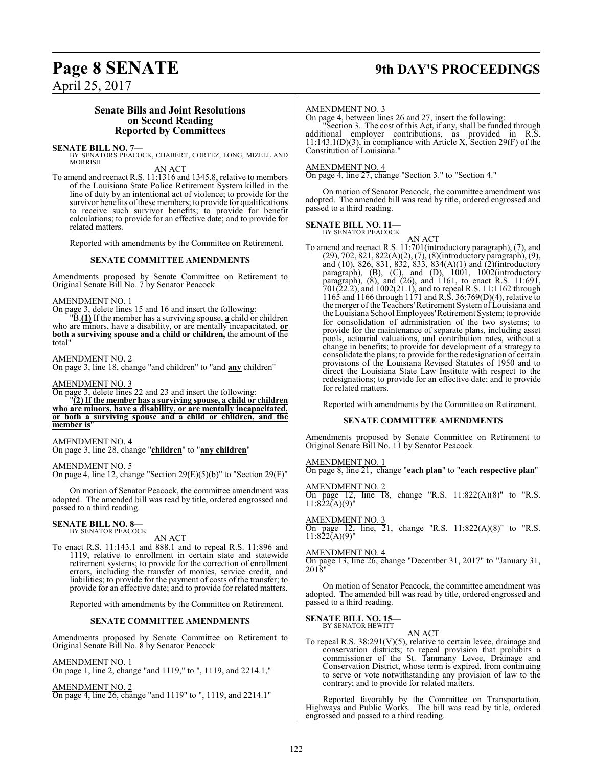# **Page 8 SENATE 9th DAY'S PROCEEDINGS**

April 25, 2017

#### **Senate Bills and Joint Resolutions on Second Reading Reported by Committees**

**SENATE BILL NO. 7—**<br>BY SENATORS PEACOCK, CHABERT, CORTEZ, LONG, MIZELL AND MORRISH

AN ACT

To amend and reenact R.S. 11:1316 and 1345.8, relative to members of the Louisiana State Police Retirement System killed in the line of duty by an intentional act of violence; to provide for the survivor benefits of these members; to provide for qualifications to receive such survivor benefits; to provide for benefit calculations; to provide for an effective date; and to provide for related matters.

Reported with amendments by the Committee on Retirement.

#### **SENATE COMMITTEE AMENDMENTS**

Amendments proposed by Senate Committee on Retirement to Original Senate Bill No. 7 by Senator Peacock

#### AMENDMENT NO. 1

On page 3, delete lines 15 and 16 and insert the following:

"B.**(1)** If the member has a surviving spouse, **a** child or children who are minors, have a disability, or are mentally incapacitated, **or both a surviving spouse and a child or children,** the amount of the total"

#### AMENDMENT NO. 2

On page 3, line 18, change "and children" to "and **any** children"

#### AMENDMENT NO. 3

On page 3, delete lines 22 and 23 and insert the following: "**(2) If the member has a surviving spouse, a child or children who are minors, have a disability, or are mentally incapacitated, or both a surviving spouse and a child or children, and the member** is

#### AMENDMENT NO. 4

On page 3, line 28, change "**children**" to "**any children**"

#### AMENDMENT NO. 5

On page 4, line 12, change "Section  $29(E)(5)(b)$ " to "Section  $29(F)$ "

On motion of Senator Peacock, the committee amendment was adopted. The amended bill was read by title, ordered engrossed and passed to a third reading.

#### **SENATE BILL NO. 8—** BY SENATOR PEACOCK

AN ACT

To enact R.S. 11:143.1 and 888.1 and to repeal R.S. 11:896 and 1119, relative to enrollment in certain state and statewide retirement systems; to provide for the correction of enrollment errors, including the transfer of monies, service credit, and liabilities; to provide for the payment of costs of the transfer; to provide for an effective date; and to provide for related matters.

Reported with amendments by the Committee on Retirement.

#### **SENATE COMMITTEE AMENDMENTS**

Amendments proposed by Senate Committee on Retirement to Original Senate Bill No. 8 by Senator Peacock

#### AMENDMENT NO. 1

On page 1, line 2, change "and 1119," to ", 1119, and 2214.1,"

AMENDMENT NO. 2

On page 4, line 26, change "and 1119" to ", 1119, and 2214.1"

#### AMENDMENT NO. 3

On page 4, between lines 26 and 27, insert the following:

"Section 3. The cost of this Act, if any, shall be funded through additional employer contributions, as provided in R.S. 11:143.1(D)(3), in compliance with Article X, Section 29(F) of the Constitution of Louisiana."

#### AMENDMENT NO. 4

On page 4, line 27, change "Section 3." to "Section 4."

On motion of Senator Peacock, the committee amendment was adopted. The amended bill was read by title, ordered engrossed and passed to a third reading.

#### **SENATE BILL NO. 11—**

BY SENATOR PEACOCK

AN ACT To amend and reenact R.S. 11:701(introductory paragraph), (7), and (29), 702, 821, 822(A)(2), (7), (8)(introductory paragraph), (9), and (10), 826, 831, 832, 833, 834(A)(1) and (2)(introductory paragraph), (B), (C), and (D), 1001, 1002(introductory paragraph), (8), and (26), and 1161, to enact R.S. 11:691, 701(22.2), and 1002(21.1), and to repeal R.S. 11:1162 through 1165 and 1166 through 1171 and R.S. 36:769(D)(4), relative to the merger of the Teachers'Retirement System of Louisiana and the Louisiana School Employees'Retirement System; to provide for consolidation of administration of the two systems; to provide for the maintenance of separate plans, including asset pools, actuarial valuations, and contribution rates, without a change in benefits; to provide for development of a strategy to consolidate the plans; to provide for the redesignation of certain provisions of the Louisiana Revised Statutes of 1950 and to direct the Louisiana State Law Institute with respect to the redesignations; to provide for an effective date; and to provide for related matters.

Reported with amendments by the Committee on Retirement.

#### **SENATE COMMITTEE AMENDMENTS**

Amendments proposed by Senate Committee on Retirement to Original Senate Bill No. 11 by Senator Peacock

#### AMENDMENT NO. 1

On page 8, line 21, change "**each plan**" to "**each respective plan**"

### AMENDMENT NO. 2

On page 12, line 18, change "R.S. 11:822(A)(8)" to "R.S.  $11:822(A)(9)$ "

#### AMENDMENT NO. 3

On page 12, line,  $\overline{2}1$ , change "R.S. 11:822(A)(8)" to "R.S.  $11:822(A)(9)$ "

#### AMENDMENT NO. 4

On page 13, line 26, change "December 31, 2017" to "January 31, 2018"

On motion of Senator Peacock, the committee amendment was adopted. The amended bill was read by title, ordered engrossed and passed to a third reading.

#### **SENATE BILL NO. 15—** BY SENATOR HEWITT

AN ACT

To repeal R.S. 38:291(V)(5), relative to certain levee, drainage and conservation districts; to repeal provision that prohibits a commissioner of the St. Tammany Levee, Drainage and Conservation District, whose term is expired, from continuing to serve or vote notwithstanding any provision of law to the contrary; and to provide for related matters.

Reported favorably by the Committee on Transportation, Highways and Public Works. The bill was read by title, ordered engrossed and passed to a third reading.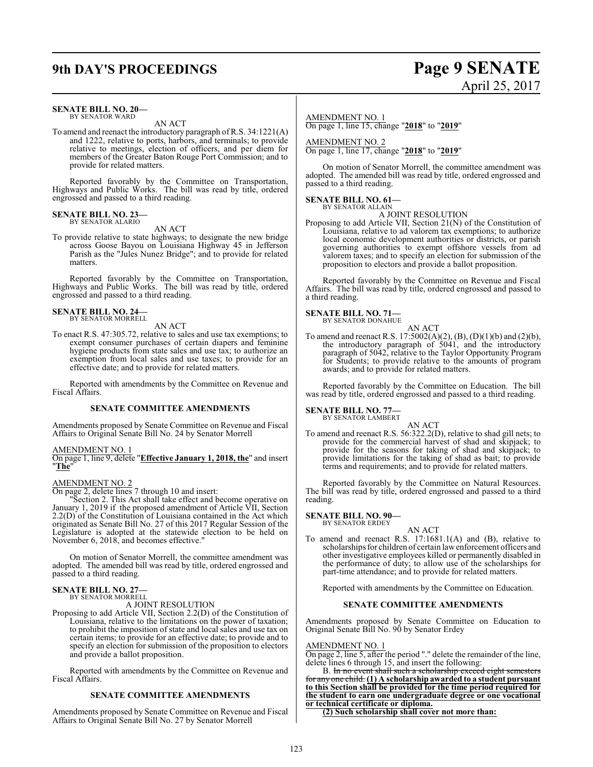# **9th DAY'S PROCEEDINGS Page 9 SENATE** April 25, 2017

#### **SENATE BILL NO. 20—** BY SENATOR WARD

#### AN ACT

To amend and reenact the introductory paragraph ofR.S. 34:1221(A) and 1222, relative to ports, harbors, and terminals; to provide relative to meetings, election of officers, and per diem for members of the Greater Baton Rouge Port Commission; and to provide for related matters.

Reported favorably by the Committee on Transportation, Highways and Public Works. The bill was read by title, ordered engrossed and passed to a third reading.

#### **SENATE BILL NO. 23—** BY SENATOR ALARIO

#### AN ACT

To provide relative to state highways; to designate the new bridge across Goose Bayou on Louisiana Highway 45 in Jefferson Parish as the "Jules Nunez Bridge"; and to provide for related matters.

Reported favorably by the Committee on Transportation, Highways and Public Works. The bill was read by title, ordered engrossed and passed to a third reading.

#### **SENATE BILL NO. 24—** BY SENATOR MORRELL

#### AN ACT

To enact R.S. 47:305.72, relative to sales and use tax exemptions; to exempt consumer purchases of certain diapers and feminine hygiene products from state sales and use tax; to authorize an exemption from local sales and use taxes; to provide for an effective date; and to provide for related matters.

Reported with amendments by the Committee on Revenue and Fiscal Affairs.

#### **SENATE COMMITTEE AMENDMENTS**

Amendments proposed by Senate Committee on Revenue and Fiscal Affairs to Original Senate Bill No. 24 by Senator Morrell

#### AMENDMENT NO. 1

On page 1, line 9, delete "**Effective January 1, 2018, the**" and insert "**The**"

#### AMENDMENT NO. 2

On page 2, delete lines 7 through 10 and insert:

"Section 2. This Act shall take effect and become operative on January 1, 2019 if the proposed amendment of Article VII, Section 2.2(D) of the Constitution of Louisiana contained in the Act which originated as Senate Bill No. 27 of this 2017 Regular Session of the Legislature is adopted at the statewide election to be held on November 6, 2018, and becomes effective.

On motion of Senator Morrell, the committee amendment was adopted. The amended bill was read by title, ordered engrossed and passed to a third reading.

#### **SENATE BILL NO. 27—** BY SENATOR MORRELL

#### A JOINT RESOLUTION

Proposing to add Article VII, Section 2.2(D) of the Constitution of Louisiana, relative to the limitations on the power of taxation; to prohibit the imposition of state and local sales and use tax on certain items; to provide for an effective date; to provide and to specify an election for submission of the proposition to electors and provide a ballot proposition.

Reported with amendments by the Committee on Revenue and Fiscal Affairs.

#### **SENATE COMMITTEE AMENDMENTS**

Amendments proposed by Senate Committee on Revenue and Fiscal Affairs to Original Senate Bill No. 27 by Senator Morrell

AMENDMENT NO. 1 On page 1, line 15, change "**2018**" to "**2019**"

AMENDMENT NO. 2 On page 1, line 17, change "**2018**" to "**2019**"

On motion of Senator Morrell, the committee amendment was adopted. The amended bill was read by title, ordered engrossed and passed to a third reading.

## **SENATE BILL NO. 61—** BY SENATOR ALLAIN

A JOINT RESOLUTION

Proposing to add Article VII, Section 21(N) of the Constitution of Louisiana, relative to ad valorem tax exemptions; to authorize local economic development authorities or districts, or parish governing authorities to exempt offshore vessels from ad valorem taxes; and to specify an election for submission of the proposition to electors and provide a ballot proposition.

Reported favorably by the Committee on Revenue and Fiscal Affairs. The bill was read by title, ordered engrossed and passed to a third reading.

#### **SENATE BILL NO. 71—**

BY SENATOR DONAHUE AN ACT

To amend and reenact R.S. 17:5002(A)(2), (B), (D)(1)(b) and (2)(b), the introductory paragraph of 5041, and the introductory paragraph of 5042, relative to the Taylor Opportunity Program for Students; to provide relative to the amounts of program awards; and to provide for related matters.

Reported favorably by the Committee on Education. The bill was read by title, ordered engrossed and passed to a third reading.

### **SENATE BILL NO. 77—**<br>BY SENATOR LAMBERT

AN ACT

To amend and reenact R.S. 56:322.2(D), relative to shad gill nets; to provide for the commercial harvest of shad and skipjack; to provide for the seasons for taking of shad and skipjack; to provide limitations for the taking of shad as bait; to provide terms and requirements; and to provide for related matters.

Reported favorably by the Committee on Natural Resources. The bill was read by title, ordered engrossed and passed to a third reading.

#### **SENATE BILL NO. 90—** BY SENATOR ERDEY

AN ACT

To amend and reenact R.S. 17:1681.1(A) and (B), relative to scholarships for children of certain lawenforcement officers and other investigative employees killed or permanently disabled in the performance of duty; to allow use of the scholarships for part-time attendance; and to provide for related matters.

Reported with amendments by the Committee on Education.

#### **SENATE COMMITTEE AMENDMENTS**

Amendments proposed by Senate Committee on Education to Original Senate Bill No. 90 by Senator Erdey

#### AMENDMENT NO. 1

On page 2, line 5, after the period "." delete the remainder of the line, delete lines 6 through 15, and insert the following:

B. In no event shall such a scholarship exceed for any one child. **(1) A scholarship awarded to a student pursuant to this Section shall be provided for the time period required for the student to earn one undergraduate degree or one vocational or technical certificate or diploma.**

**(2) Such scholarship shall cover not more than:**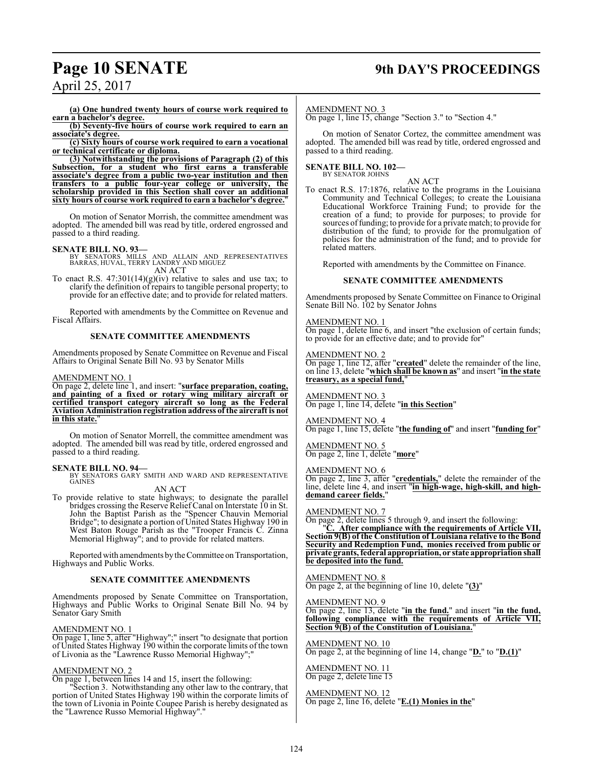## **Page 10 SENATE 9th DAY'S PROCEEDINGS**

April 25, 2017

**(a) One hundred twenty hours of course work required to earn a bachelor's degree.**

**(b) Seventy-five hours of course work required to earn an associate's degree.**

**(c) Sixty hours of course work required to earn a vocational or technical certificate or diploma.**

**(3) Notwithstanding the provisions of Paragraph (2) of this Subsection, for a student who first earns a transferable associate's degree from a public two-year institution and then transfers to a public four-year college or university, the scholarship provided in this Section shall cover an additional sixty hours of course work required to earn a bachelor's degree.**"

On motion of Senator Morrish, the committee amendment was adopted. The amended bill was read by title, ordered engrossed and passed to a third reading.

**SENATE BILL NO. 93—**<br>BY SENATORS MILLS AND ALLAIN AND REPRESENTATIVES<br>BARRAS, HUVAL, TERRY LANDRY AND MIGUEZ AN ACT

To enact R.S.  $47:301(14)(g)(iv)$  relative to sales and use tax; to clarify the definition of repairs to tangible personal property; to provide for an effective date; and to provide for related matters.

Reported with amendments by the Committee on Revenue and Fiscal Affairs.

#### **SENATE COMMITTEE AMENDMENTS**

Amendments proposed by Senate Committee on Revenue and Fiscal Affairs to Original Senate Bill No. 93 by Senator Mills

#### AMENDMENT NO. 1

On page 2, delete line 1, and insert: "**surface preparation, coating, and painting of a fixed or rotary wing military aircraft or certified transport category aircraft so long as the Federal Aviation Administration registration address of the aircraft is not in this state.**"

On motion of Senator Morrell, the committee amendment was adopted. The amended bill was read by title, ordered engrossed and passed to a third reading.

#### **SENATE BILL NO. 94—**

SENATORS GARY SMITH AND WARD AND REPRESENTATIVE GAINES

#### AN ACT

To provide relative to state highways; to designate the parallel bridges crossing the Reserve Relief Canal on Interstate 10 in St. John the Baptist Parish as the "Spencer Chauvin Memorial Bridge"; to designate a portion of United States Highway 190 in West Baton Rouge Parish as the "Trooper Francis C. Zinna Memorial Highway"; and to provide for related matters.

Reported with amendments by the Committee on Transportation, Highways and Public Works.

#### **SENATE COMMITTEE AMENDMENTS**

Amendments proposed by Senate Committee on Transportation, Highways and Public Works to Original Senate Bill No. 94 by Senator Gary Smith

#### AMENDMENT NO. 1

On page 1, line 5, after "Highway";" insert "to designate that portion of United States Highway 190 within the corporate limits of the town of Livonia as the "Lawrence Russo Memorial Highway";"

#### AMENDMENT NO. 2

On page 1, between lines 14 and 15, insert the following:

"Section 3. Notwithstanding any other law to the contrary, that portion of United States Highway 190 within the corporate limits of the town of Livonia in Pointe Coupee Parish is hereby designated as the "Lawrence Russo Memorial Highway".

#### AMENDMENT NO. 3

On page 1, line 15, change "Section 3." to "Section 4."

On motion of Senator Cortez, the committee amendment was adopted. The amended bill was read by title, ordered engrossed and passed to a third reading.

#### **SENATE BILL NO. 102—** BY SENATOR JOHNS

AN ACT To enact R.S. 17:1876, relative to the programs in the Louisiana Community and Technical Colleges; to create the Louisiana Educational Workforce Training Fund; to provide for the creation of a fund; to provide for purposes; to provide for sources offunding; to provide for a private match; to provide for distribution of the fund; to provide for the promulgation of policies for the administration of the fund; and to provide for related matters.

Reported with amendments by the Committee on Finance.

#### **SENATE COMMITTEE AMENDMENTS**

Amendments proposed by Senate Committee on Finance to Original Senate Bill No. 102 by Senator Johns

#### AMENDMENT NO. 1

On page 1, delete line 6, and insert "the exclusion of certain funds; to provide for an effective date; and to provide for"

#### AMENDMENT NO. 2

On page 1, line 12, after "**created**" delete the remainder of the line, on line 13, delete "**which shall be known as**" and insert "**in the state treasury, as a special fund,**"

AMENDMENT NO. 3 On page 1, line 14, delete "**in this Section**"

#### AMENDMENT NO. 4

On page 1, line 15, delete "**the funding of**" and insert "**funding for**"

### AMENDMENT NO. 5

On page 2, line 1, delete "**more**"

#### AMENDMENT NO. 6

On page 2, line 3, after "**credentials,**" delete the remainder of the line, delete line 4, and insert "**in high-wage, high-skill, and highdemand career fields.**"

#### AMENDMENT NO. 7

On page 2, delete lines 5 through 9, and insert the following:

After compliance with the requirements of Article VII, **Section 9(B) of the Constitution of Louisiana relative to the Bond Security and Redemption Fund, monies received from public or private grants, federal appropriation, or state appropriationshall be deposited into the fund.**

#### AMENDMENT NO. 8

On page 2, at the beginning of line 10, delete "**(3)**"

#### AMENDMENT NO. 9

On page 2, line 13, delete "**in the fund.**" and insert "**in the fund, following compliance with the requirements of Article VII, Section 9(B) of the Constitution of Louisiana.**"

AMENDMENT NO. 10 On page 2, at the beginning of line 14, change "**D.**" to "**D.(1)**"

#### AMENDMENT NO. 11 On page 2, delete line 15

AMENDMENT NO. 12 On page 2, line 16, delete "**E.(1) Monies in the**"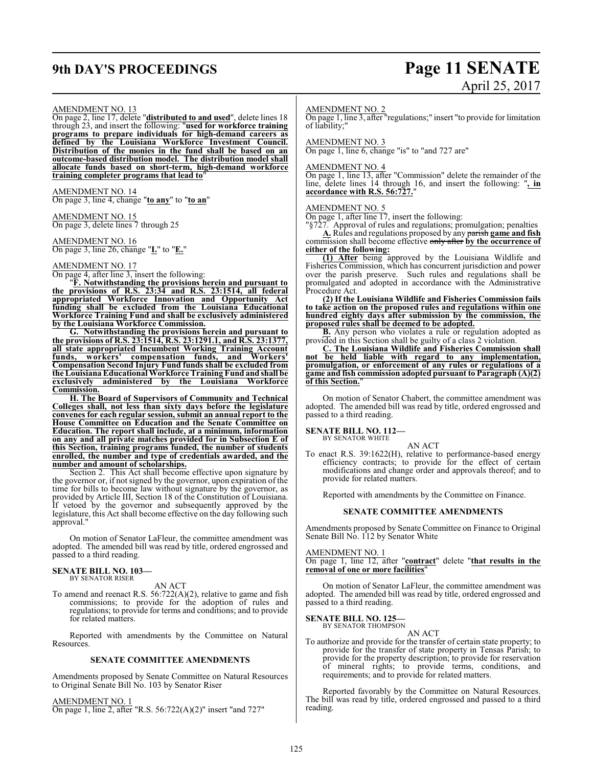# **9th DAY'S PROCEEDINGS Page 11 SENATE**

# April 25, 2017

#### AMENDMENT NO. 13

On page 2, line 17, delete "**distributed to and used**", delete lines 18 through 23, and insert the following: "**used for workforce training programs to prepare individuals for high-demand careers as defined by the Louisiana Workforce Investment Council. Distribution of the monies in the fund shall be based on an outcome-based distribution model. The distribution model shall allocate funds based on short-term, high-demand workforce training completer programs that lead to**"

AMENDMENT NO. 14 On page 3, line 4, change "**to any**" to "**to an**"

AMENDMENT NO. 15 On page 3, delete lines 7 through 25

AMENDMENT NO. 16 On page 3, line 26, change "**I.**" to "**E.**"

#### AMENDMENT NO. 17

On page 4, after line 3, insert the following:

"**F. Notwithstanding the provisions herein and pursuant to the provisions of R.S. 23:34 and R.S. 23:1514, all federal appropriated Workforce Innovation and Opportunity Act funding shall be excluded from the Louisiana Educational Workforce Training Fund and shall be exclusively administered by the Louisiana Workforce Commission.**

**G. Notwithstanding the provisions herein and pursuant to the provisions of R.S. 23:1514, R.S. 23:1291.1, and R.S. 23:1377, all state appropriated Incumbent Working Training Account funds, workers' compensation funds, and Workers' Compensation Second Injury Fund funds shall be excluded from the LouisianaEducational Workforce Training Fund and shall be exclusively administered by the Louisiana Workforce Commission.**

**H. The Board of Supervisors of Community and Technical Colleges shall, not less than sixty days before the legislature convenes for each regular session, submit an annual report to the House Committee on Education and the Senate Committee on Education. The report shall include, at a minimum, information on any and all private matches provided for in Subsection E of this Section, training programs funded, the number of students enrolled, the number and type of credentials awarded, and the number and amount of scholarships.**

Section 2. This Act shall become effective upon signature by the governor or, if not signed by the governor, upon expiration of the time for bills to become law without signature by the governor, as provided by Article III, Section 18 of the Constitution of Louisiana. If vetoed by the governor and subsequently approved by the legislature, this Act shall become effective on the day following such approval."

On motion of Senator LaFleur, the committee amendment was adopted. The amended bill was read by title, ordered engrossed and passed to a third reading.

#### **SENATE BILL NO. 103—** BY SENATOR RISER

AN ACT

To amend and reenact R.S. 56:722(A)(2), relative to game and fish commissions; to provide for the adoption of rules and regulations; to provide for terms and conditions; and to provide for related matters.

Reported with amendments by the Committee on Natural Resources.

#### **SENATE COMMITTEE AMENDMENTS**

Amendments proposed by Senate Committee on Natural Resources to Original Senate Bill No. 103 by Senator Riser

AMENDMENT NO. 1 On page 1, line 2, after "R.S. 56:722(A)(2)" insert "and 727"

#### AMENDMENT NO. 2

On page 1, line 3, after "regulations;" insert "to provide for limitation of liability;"

#### AMENDMENT NO. 3

On page 1, line 6, change "is" to "and 727 are"

#### AMENDMENT NO. 4

On page 1, line 13, after "Commission" delete the remainder of the line, delete lines 14 through 16, and insert the following: "**, in accordance with R.S. 56:727.**"

#### AMENDMENT NO. 5

On page 1, after line 17, insert the following:

"§727. Approval of rules and regulations; promulgation; penalties **A.** Rules and regulations proposed by any parish **game and fish** commission shall become effective only after **by the occurrence of**

#### **either of the following:**

**(1) After** being approved by the Louisiana Wildlife and Fisheries Commission, which has concurrent jurisdiction and power over the parish preserve. Such rules and regulations shall be promulgated and adopted in accordance with the Administrative Procedure Act.

**(2) If the Louisiana Wildlife and Fisheries Commission fails to take action on the proposed rules and regulations within one hundred eighty days after submission by the commission, the proposed rules shall be deemed to be adopted.**

**B.** Any person who violates a rule or regulation adopted as provided in this Section shall be guilty of a class 2 violation.

**C. The Louisiana Wildlife and Fisheries Commission shall not be held liable with regard to any implementation, promulgation, or enforcement of any rules or regulations of a game and fish commission adopted pursuant to Paragraph (A)(2) of this Section.**"

On motion of Senator Chabert, the committee amendment was adopted. The amended bill was read by title, ordered engrossed and passed to a third reading.

### **SENATE BILL NO. 112—**

BY SENATOR WHITE

To enact R.S. 39:1622(H), relative to performance-based energy efficiency contracts; to provide for the effect of certain modifications and change order and approvals thereof; and to provide for related matters.

AN ACT

Reported with amendments by the Committee on Finance.

#### **SENATE COMMITTEE AMENDMENTS**

Amendments proposed by Senate Committee on Finance to Original Senate Bill No. 112 by Senator White

#### AMENDMENT NO. 1

On page 1, line 12, after "**contract**" delete "**that results in the removal of one or more facilities**"

On motion of Senator LaFleur, the committee amendment was adopted. The amended bill was read by title, ordered engrossed and passed to a third reading.

#### **SENATE BILL NO. 125—** BY SENATOR THOMPSON

AN ACT

To authorize and provide for the transfer of certain state property; to provide for the transfer of state property in Tensas Parish; to provide for the property description; to provide for reservation of mineral rights; to provide terms, conditions, and requirements; and to provide for related matters.

Reported favorably by the Committee on Natural Resources. The bill was read by title, ordered engrossed and passed to a third reading.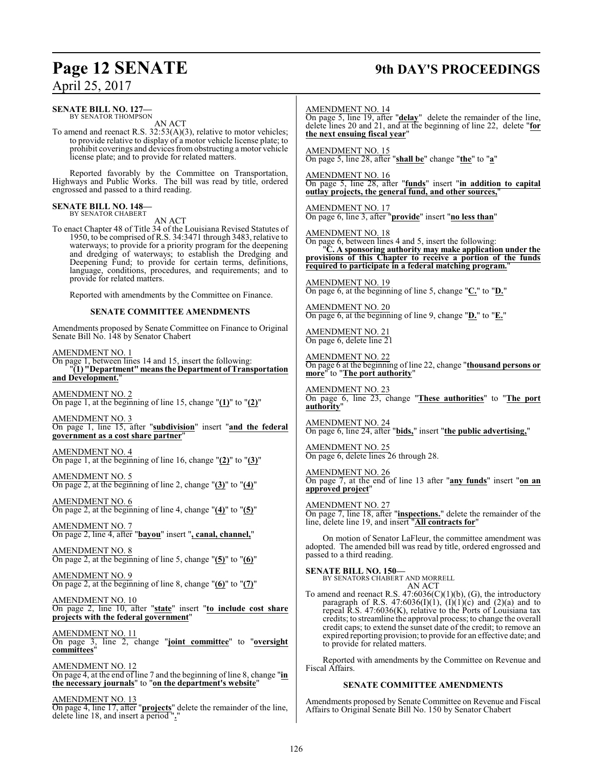# **Page 12 SENATE 9th DAY'S PROCEEDINGS**

### April 25, 2017

| $\Delta$ phil 20, 2017                                                                                                                                                                                                                                                                                                                                                                                      |                                                                                                                                                                                                                                                                                                                                                       |  |  |
|-------------------------------------------------------------------------------------------------------------------------------------------------------------------------------------------------------------------------------------------------------------------------------------------------------------------------------------------------------------------------------------------------------------|-------------------------------------------------------------------------------------------------------------------------------------------------------------------------------------------------------------------------------------------------------------------------------------------------------------------------------------------------------|--|--|
| SENATE BILL NO. 127—<br>BY SENATOR THOMPSON<br>AN ACT<br>To amend and reenact R.S. $32:53(A)(3)$ , relative to motor vehicles;                                                                                                                                                                                                                                                                              | <b>AMENDMENT NO. 14</b><br>On page 5, line 19, after " <b>delay</b> " delete the remainder of the line,<br>delete lines 20 and 21, and at the beginning of line 22, delete "for<br>the next ensuing fiscal year"                                                                                                                                      |  |  |
| to provide relative to display of a motor vehicle license plate; to<br>prohibit coverings and devices from obstructing a motor vehicle<br>license plate; and to provide for related matters.                                                                                                                                                                                                                | <b>AMENDMENT NO. 15</b><br>On page 5, line 28, after "shall be" change "the" to "a"                                                                                                                                                                                                                                                                   |  |  |
| Reported favorably by the Committee on Transportation,<br>Highways and Public Works. The bill was read by title, ordered<br>engrossed and passed to a third reading.                                                                                                                                                                                                                                        | <b>AMENDMENT NO. 16</b><br>On page 5, line 28, after "funds" insert "in addition to capital<br>outlay projects, the general fund, and other sources,                                                                                                                                                                                                  |  |  |
| <b>SENATE BILL NO. 148—</b><br>BY SENATOR CHABERT                                                                                                                                                                                                                                                                                                                                                           | <b>AMENDMENT NO. 17</b><br>On page 6, line 3, after "provide" insert "no less than"                                                                                                                                                                                                                                                                   |  |  |
| AN ACT<br>To enact Chapter 48 of Title 34 of the Louisiana Revised Statutes of<br>1950, to be comprised of R.S. 34:3471 through 3483, relative to<br>waterways; to provide for a priority program for the deepening<br>and dredging of waterways; to establish the Dredging and<br>Deepening Fund; to provide for certain terms, definitions,<br>language, conditions, procedures, and requirements; and to | <b>AMENDMENT NO. 18</b><br>On page 6, between lines 4 and 5, insert the following:<br>'C. A sponsoring authority may make application under the<br>provisions of this Chapter to receive a portion of the funds<br>required to participate in a federal matching program.                                                                             |  |  |
| provide for related matters.<br>Reported with amendments by the Committee on Finance.                                                                                                                                                                                                                                                                                                                       | <b>AMENDMENT NO. 19</b><br>On page 6, at the beginning of line 5, change " $C$ ." to " $D$ ."                                                                                                                                                                                                                                                         |  |  |
| <b>SENATE COMMITTEE AMENDMENTS</b>                                                                                                                                                                                                                                                                                                                                                                          | AMENDMENT NO. 20<br>On page 6, at the beginning of line 9, change " $D$ " to " $E$ ."                                                                                                                                                                                                                                                                 |  |  |
| Amendments proposed by Senate Committee on Finance to Original<br>Senate Bill No. 148 by Senator Chabert                                                                                                                                                                                                                                                                                                    | AMENDMENT NO. 21<br>On page 6, delete line 21                                                                                                                                                                                                                                                                                                         |  |  |
| AMENDMENT NO. 1<br>On page 1, between lines 14 and 15, insert the following:<br>"(1) "Department" means the Department of Transportation<br>and Development."                                                                                                                                                                                                                                               | AMENDMENT NO. 22<br>On page 6 at the beginning of line 22, change "thousand persons or<br>more" to "The port authority"                                                                                                                                                                                                                               |  |  |
| <b>AMENDMENT NO. 2</b><br>On page 1, at the beginning of line 15, change " $(1)$ " to " $(2)$ "                                                                                                                                                                                                                                                                                                             | <u>AMENDMENT NO. 23</u><br>On page 6, line 23, change "These authorities" to "The port<br>authority"                                                                                                                                                                                                                                                  |  |  |
| AMENDMENT NO. 3<br>On page 1, line 15, after "subdivision" insert "and the federal<br>government as a cost share partner"                                                                                                                                                                                                                                                                                   | <b>AMENDMENT NO. 24</b><br>On page 6, line 24, after "bids," insert "the public advertising,"                                                                                                                                                                                                                                                         |  |  |
| AMENDMENT NO. 4<br>On page 1, at the beginning of line 16, change " $(2)$ " to " $(3)$ "                                                                                                                                                                                                                                                                                                                    | AMENDMENT NO. 25<br>On page 6, delete lines 26 through 28.                                                                                                                                                                                                                                                                                            |  |  |
| AMENDMENT NO. 5<br>On page 2, at the beginning of line 2, change " $(3)$ " to " $(4)$ "                                                                                                                                                                                                                                                                                                                     | <b>AMENDMENT NO. 26</b><br>On page 7, at the end of line 13 after "any funds" insert "on an<br>approved project"                                                                                                                                                                                                                                      |  |  |
| AMENDMENT NO. 6<br>On page 2, at the beginning of line 4, change " $(4)$ " to " $(5)$ "                                                                                                                                                                                                                                                                                                                     | <b>AMENDMENT NO. 27</b><br>On page 7, line 18, after " <b>inspections.</b> " delete the remainder of the<br>line, delete line 19, and insert "All contracts for"                                                                                                                                                                                      |  |  |
| <b>AMENDMENT NO. 7</b><br>On page 2, line 4, after "bayou" insert ", canal, channel,"                                                                                                                                                                                                                                                                                                                       | On motion of Senator LaFleur, the committee amendment was                                                                                                                                                                                                                                                                                             |  |  |
| AMENDMENT NO. 8<br>On page 2, at the beginning of line 5, change " $(5)'$ " to " $(6)$ "                                                                                                                                                                                                                                                                                                                    | adopted. The amended bill was read by title, ordered engrossed and<br>passed to a third reading.                                                                                                                                                                                                                                                      |  |  |
| AMENDMENT NO. 9<br>On page 2, at the beginning of line 8, change " $(6)$ " to " $(7)$ "                                                                                                                                                                                                                                                                                                                     | <b>SENATE BILL NO. 150-</b><br>BY SENATORS CHABERT AND MORRELL<br>AN ACT                                                                                                                                                                                                                                                                              |  |  |
| AMENDMENT NO. 10<br>On page 2, line 10, after "state" insert "to include cost share<br>projects with the federal government"<br>AMENDMENT NO. 11                                                                                                                                                                                                                                                            | To amend and reenact R.S. $47:6036(C)(1)(b)$ , (G), the introductory<br>paragraph of R.S. 47:6036(I)(1), (I)(1)(c) and (2)(a) and to<br>repeal R.S. $47:6036(K)$ , relative to the Ports of Louisiana tax<br>credits; to streamline the approval process; to change the overall<br>credit caps; to extend the sunset date of the credit; to remove an |  |  |
| On page 3, line 2, change "joint committee" to "oversight<br>committees'                                                                                                                                                                                                                                                                                                                                    | expired reporting provision; to provide for an effective date; and<br>to provide for related matters.                                                                                                                                                                                                                                                 |  |  |
| AMENDMENT NO. 12<br>On page 4, at the end of line 7 and the beginning of line 8, change "in<br>the necessary journals" to "on the department's website"                                                                                                                                                                                                                                                     | Reported with amendments by the Committee on Revenue and<br>Fiscal Affairs.<br><b>SENATE COMMITTEE AMENDMENTS</b>                                                                                                                                                                                                                                     |  |  |
|                                                                                                                                                                                                                                                                                                                                                                                                             |                                                                                                                                                                                                                                                                                                                                                       |  |  |

AMENDMENT NO. 13 On page 4, line 17, after "**projects**" delete the remainder of the line, delete line 18, and insert a period "**.**"

#### **SENATE COMMITTEE AMENDMENTS**

Amendments proposed by Senate Committee on Revenue and Fiscal Affairs to Original Senate Bill No. 150 by Senator Chabert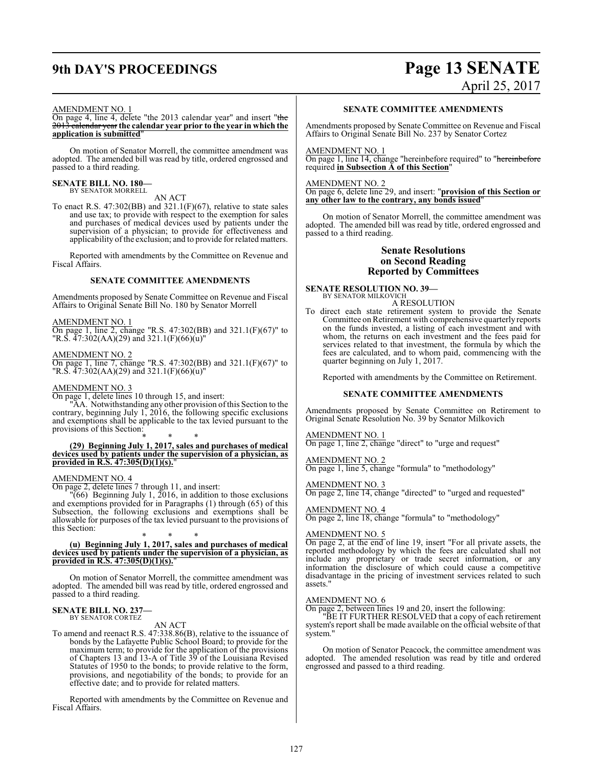# **9th DAY'S PROCEEDINGS Page 13 SENATE** April 25, 2017

#### AMENDMENT NO. 1

On page 4, line 4, delete "the 2013 calendar year" and insert "the 2013 calendar year **the calendar year prior to the year in which the application is submitted**"

On motion of Senator Morrell, the committee amendment was adopted. The amended bill was read by title, ordered engrossed and passed to a third reading.

#### **SENATE BILL NO. 180—** BY SENATOR MORRELL

AN ACT

To enact R.S.  $47:302(BB)$  and  $321.1(F)(67)$ , relative to state sales and use tax; to provide with respect to the exemption for sales and purchases of medical devices used by patients under the supervision of a physician; to provide for effectiveness and applicability of the exclusion; and to provide for related matters.

Reported with amendments by the Committee on Revenue and Fiscal Affairs.

#### **SENATE COMMITTEE AMENDMENTS**

Amendments proposed by Senate Committee on Revenue and Fiscal Affairs to Original Senate Bill No. 180 by Senator Morrell

#### AMENDMENT NO. 1

On page 1, line 2, change "R.S. 47:302(BB) and 321.1(F)(67)" to "R.S. 47:302(AA)(29) and 321.1(F)(66)(u)"

#### AMENDMENT NO. 2

On page 1, line 7, change "R.S. 47:302(BB) and 321.1(F)(67)" to "R.S. 47:302(AA)(29) and 321.1(F)(66)(u)"

#### AMENDMENT NO. 3

On page 1, delete lines 10 through 15, and insert:

"AA. Notwithstanding any other provision of this Section to the contrary, beginning July 1, 2016, the following specific exclusions and exemptions shall be applicable to the tax levied pursuant to the provisions of this Section:

\* \* \* **(29) Beginning July 1, 2017, sales and purchases of medical devices used by patients under the supervision of a physician, as provided in R.S. 47:305(D)(1)(s).**"

#### AMENDMENT NO. 4

On page 2, delete lines 7 through 11, and insert:

 $\sqrt{66}$  Beginning July 1, 2016, in addition to those exclusions and exemptions provided for in Paragraphs (1) through (65) of this Subsection, the following exclusions and exemptions shall be allowable for purposes of the tax levied pursuant to the provisions of this Section:

#### \* \* \* **(u) Beginning July 1, 2017, sales and purchases of medical devices used by patients under the supervision of a physician, as provided in R.S. 47:305(D)(1)(s).**"

On motion of Senator Morrell, the committee amendment was adopted. The amended bill was read by title, ordered engrossed and passed to a third reading.

#### **SENATE BILL NO. 237—** BY SENATOR CORTEZ

#### AN ACT

To amend and reenact R.S. 47:338.86(B), relative to the issuance of bonds by the Lafayette Public School Board; to provide for the maximum term; to provide for the application of the provisions of Chapters 13 and 13-A of Title 39 of the Louisiana Revised Statutes of 1950 to the bonds; to provide relative to the form, provisions, and negotiability of the bonds; to provide for an effective date; and to provide for related matters.

Reported with amendments by the Committee on Revenue and Fiscal Affairs.

#### **SENATE COMMITTEE AMENDMENTS**

Amendments proposed by Senate Committee on Revenue and Fiscal Affairs to Original Senate Bill No. 237 by Senator Cortez

#### AMENDMENT NO. 1

On page 1, line 14, change "hereinbefore required" to "hereinbefore required **in Subsection A of this Section**"

#### AMENDMENT NO. 2

On page 6, delete line 29, and insert: "**provision of this Section or any other law to the contrary, any bonds issued**"

On motion of Senator Morrell, the committee amendment was adopted. The amended bill was read by title, ordered engrossed and passed to a third reading.

#### **Senate Resolutions on Second Reading Reported by Committees**

### **SENATE RESOLUTION NO. 39—**

BY SENATOR MILKOVICH A RESOLUTION

- To direct each state retirement system to provide the Senate Committee on Retirement with comprehensive quarterly reports on the funds invested, a listing of each investment and with whom, the returns on each investment and the fees paid for
	- services related to that investment, the formula by which the fees are calculated, and to whom paid, commencing with the quarter beginning on July 1, 2017.

Reported with amendments by the Committee on Retirement.

#### **SENATE COMMITTEE AMENDMENTS**

Amendments proposed by Senate Committee on Retirement to Original Senate Resolution No. 39 by Senator Milkovich

AMENDMENT NO. 1

On page 1, line 2, change "direct" to "urge and request"

AMENDMENT NO. 2 On page 1, line 5, change "formula" to "methodology"

#### AMENDMENT NO. 3

On page 2, line 14, change "directed" to "urged and requested"

### AMENDMENT NO. 4

On page 2, line 18, change "formula" to "methodology"

#### AMENDMENT NO. 5

On page 2, at the end of line 19, insert "For all private assets, the reported methodology by which the fees are calculated shall not include any proprietary or trade secret information, or any information the disclosure of which could cause a competitive disadvantage in the pricing of investment services related to such assets."

#### AMENDMENT NO. 6

On page 2, between lines 19 and 20, insert the following:

"BE IT FURTHER RESOLVED that a copy of each retirement system's report shall be made available on the official website of that system."

On motion of Senator Peacock, the committee amendment was adopted. The amended resolution was read by title and ordered engrossed and passed to a third reading.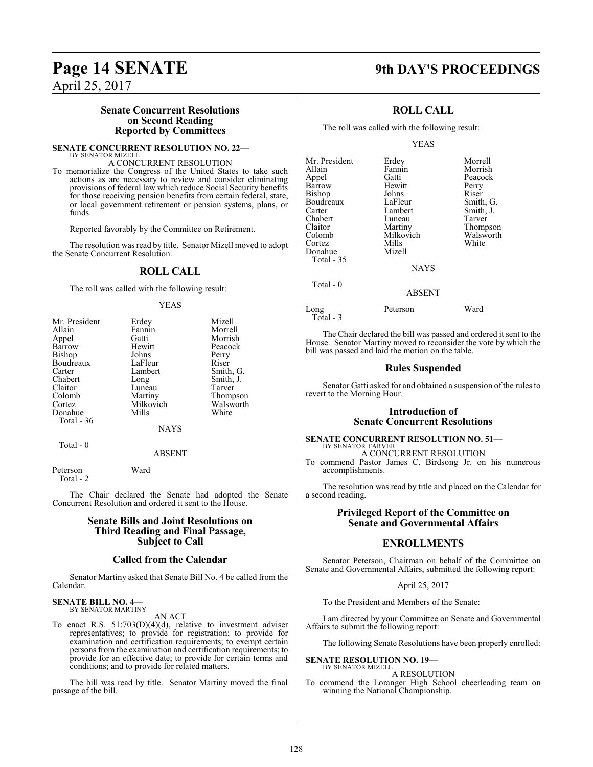### **Page 14 SENATE 9th DAY'S PROCEEDINGS**

April 25, 2017

#### **Senate Concurrent Resolutions on Second Reading Reported by Committees**

**SENATE CONCURRENT RESOLUTION NO. 22—** BY SENATOR MIZELL

#### A CONCURRENT RESOLUTION

To memorialize the Congress of the United States to take such actions as are necessary to review and consider eliminating provisions of federal law which reduce Social Security benefits for those receiving pension benefits from certain federal, state, or local government retirement or pension systems, plans, or funds.

Reported favorably by the Committee on Retirement.

The resolution was read by title. Senator Mizell moved to adopt the Senate Concurrent Resolution.

### **ROLL CALL**

The roll was called with the following result:

#### YEAS

| Mr. President | Erdey     | Mizell    |
|---------------|-----------|-----------|
| Allain        | Fannin    | Morrell   |
| Appel         | Gatti     | Morrish   |
| Barrow        | Hewitt    | Peacock   |
| Bishop        | Johns     | Perry     |
| Boudreaux     | LaFleur   | Riser     |
| Carter        | Lambert   | Smith, G. |
| Chabert       | Long      | Smith, J. |
| Claitor       | Luneau    | Tarver    |
| Colomb        | Martiny   | Thompson  |
| Cortez        | Milkovich | Walsworth |
| Donahue       | Mills     | White     |
| Total - 36    |           |           |
|               | NAYS      |           |

Total - 0

ABSENT

Peterson Ward Total - 2

The Chair declared the Senate had adopted the Senate Concurrent Resolution and ordered it sent to the House.

#### **Senate Bills and Joint Resolutions on Third Reading and Final Passage, Subject to Call**

#### **Called from the Calendar**

Senator Martiny asked that Senate Bill No. 4 be called from the Calendar.

#### **SENATE BILL NO. 4—** BY SENATOR MARTINY

AN ACT

To enact R.S. 51:703(D)(4)(d), relative to investment adviser representatives; to provide for registration; to provide for examination and certification requirements; to exempt certain persons from the examination and certification requirements; to provide for an effective date; to provide for certain terms and conditions; and to provide for related matters.

The bill was read by title. Senator Martiny moved the final passage of the bill.

### **ROLL CALL**

The roll was called with the following result:

YEAS

| Mr. President | Erdey       | Morrell   |
|---------------|-------------|-----------|
| Allain        | Fannin      | Morrish   |
| Appel         | Gatti       | Peacock   |
| Barrow        | Hewitt      | Perry     |
| Bishop        | Johns       | Riser     |
| Boudreaux     | LaFleur     | Smith, G. |
| Carter        | Lambert     | Smith, J. |
| Chabert       | Luneau      | Tarver    |
| Claitor       | Martiny     | Thompson  |
| Colomb        | Milkovich   | Walsworth |
| Cortez        | Mills       | White     |
| Donahue       | Mizell      |           |
| Total $-35$   |             |           |
|               | <b>NAYS</b> |           |
| Total $-0$    |             |           |
|               | ABSENT      |           |

Long Peterson Ward Total - 3

The Chair declared the bill was passed and ordered it sent to the House. Senator Martiny moved to reconsider the vote by which the bill was passed and laid the motion on the table.

#### **Rules Suspended**

Senator Gatti asked for and obtained a suspension of the rules to revert to the Morning Hour.

#### **Introduction of Senate Concurrent Resolutions**

#### **SENATE CONCURRENT RESOLUTION NO. 51—** BY SENATOR TARVER

A CONCURRENT RESOLUTION

To commend Pastor James C. Birdsong Jr. on his numerous accomplishments.

The resolution was read by title and placed on the Calendar for a second reading.

### **Privileged Report of the Committee on Senate and Governmental Affairs**

### **ENROLLMENTS**

Senator Peterson, Chairman on behalf of the Committee on Senate and Governmental Affairs, submitted the following report:

April 25, 2017

To the President and Members of the Senate:

I am directed by your Committee on Senate and Governmental Affairs to submit the following report:

The following Senate Resolutions have been properly enrolled:

**SENATE RESOLUTION NO. 19—** BY SENATOR MIZELL

#### A RESOLUTION

To commend the Loranger High School cheerleading team on winning the National Championship.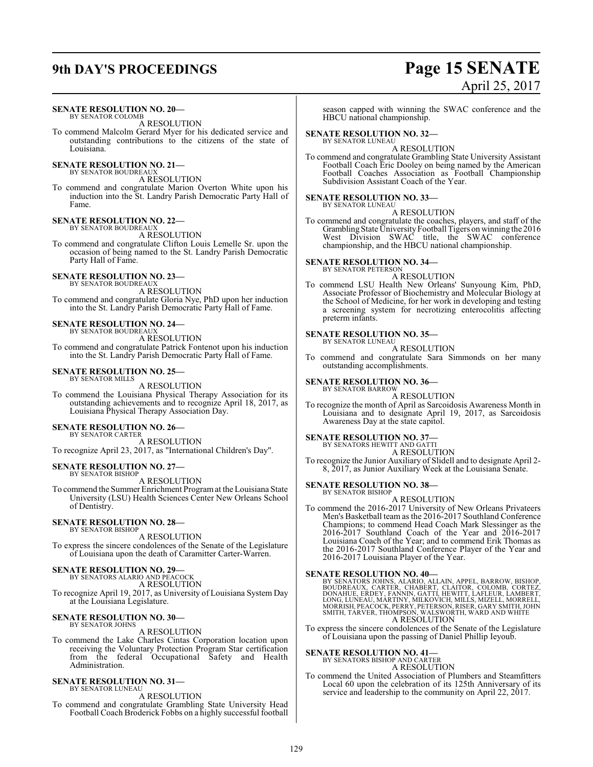# **9th DAY'S PROCEEDINGS Page 15 SENATE**

# April 25, 2017

#### **SENATE RESOLUTION NO. 20—** BY SENATOR COLOMB

A RESOLUTION

To commend Malcolm Gerard Myer for his dedicated service and outstanding contributions to the citizens of the state of Louisiana.

## **SENATE RESOLUTION NO. 21—**<br>BY SENATOR BOUDREAUX

A RESOLUTION

To commend and congratulate Marion Overton White upon his induction into the St. Landry Parish Democratic Party Hall of Fame.

# **SENATE RESOLUTION NO. 22—** BY SENATOR BOUDREAUX

A RESOLUTION

To commend and congratulate Clifton Louis Lemelle Sr. upon the occasion of being named to the St. Landry Parish Democratic Party Hall of Fame.

# **SENATE RESOLUTION NO. 23—** BY SENATOR BOUDREAUX

A RESOLUTION

To commend and congratulate Gloria Nye, PhD upon her induction into the St. Landry Parish Democratic Party Hall of Fame.

#### **SENATE RESOLUTION NO. 24—**

BY SENATOR BOUDREAUX A RESOLUTION

To commend and congratulate Patrick Fontenot upon his induction into the St. Landry Parish Democratic Party Hall of Fame.

# **SENATE RESOLUTION NO. 25—** BY SENATOR MILLS

A RESOLUTION

To commend the Louisiana Physical Therapy Association for its outstanding achievements and to recognize April 18, 2017, as Louisiana Physical Therapy Association Day.

### **SENATE RESOLUTION NO. 26—**

BY SENATOR CARTER A RESOLUTION To recognize April 23, 2017, as "International Children's Day".

#### **SENATE RESOLUTION NO. 27—**

BY SENATOR BISHOP A RESOLUTION

To commend the Summer Enrichment Programat the Louisiana State University (LSU) Health Sciences Center New Orleans School of Dentistry.

#### **SENATE RESOLUTION NO. 28—** BY SENATOR BISHOP

A RESOLUTION To express the sincere condolences of the Senate of the Legislature of Louisiana upon the death of Caramitter Carter-Warren.

### **SENATE RESOLUTION NO. 29—**

BY SENATORS ALARIO AND PEACOCK A RESOLUTION

To recognize April 19, 2017, as University of Louisiana System Day at the Louisiana Legislature.

#### **SENATE RESOLUTION NO. 30—** BY SENATOR JOHNS

A RESOLUTION

To commend the Lake Charles Cintas Corporation location upon receiving the Voluntary Protection Program Star certification from the federal Occupational Safety and Health Administration.

### **SENATE RESOLUTION NO. 31—**

BY SENATOR LUNEAU A RESOLUTION

To commend and congratulate Grambling State University Head Football Coach Broderick Fobbs on a highly successful football

season capped with winning the SWAC conference and the HBCU national championship.

#### **SENATE RESOLUTION NO. 32—** BY SENATOR LUNEAU

A RESOLUTION

To commend and congratulate Grambling State University Assistant Football Coach Eric Dooley on being named by the American Football Coaches Association as Football Championship Subdivision Assistant Coach of the Year.

#### **SENATE RESOLUTION NO. 33—** BY SENATOR LUNEAU

A RESOLUTION

To commend and congratulate the coaches, players, and staff of the Grambling State UniversityFootball Tigers on winning the 2016 West Division SWAC title, the SWAC conference championship, and the HBCU national championship.

#### **SENATE RESOLUTION NO. 34—**

BY SENATOR PETERSON A RESOLUTION

To commend LSU Health New Orleans' Sunyoung Kim, PhD, Associate Professor of Biochemistry and Molecular Biology at the School of Medicine, for her work in developing and testing a screening system for necrotizing enterocolitis affecting preterm infants.

#### **SENATE RESOLUTION NO. 35—**

BY SENATOR LUNEAU A RESOLUTION

To commend and congratulate Sara Simmonds on her many outstanding accomplishments.

# **SENATE RESOLUTION NO. 36—** BY SENATOR BARROW

A RESOLUTION

To recognize the month of April as Sarcoidosis Awareness Month in Louisiana and to designate April 19, 2017, as Sarcoidosis Awareness Day at the state capitol.

### **SENATE RESOLUTION NO. 37—**<br>BY SENATORS HEWITT AND GATTI

A RESOLUTION

To recognize the Junior Auxiliary of Slidell and to designate April 2- 8, 2017, as Junior Auxiliary Week at the Louisiana Senate.

### **SENATE RESOLUTION NO. 38—**

BY SENATOR BISHOP A RESOLUTION

To commend the 2016-2017 University of New Orleans Privateers Men's Basketball team as the 2016-2017 Southland Conference Champions; to commend Head Coach Mark Slessinger as the 2016-2017 Southland Coach of the Year and 2016-2017 Louisiana Coach of the Year; and to commend Erik Thomas as the 2016-2017 Southland Conference Player of the Year and 2016-2017 Louisiana Player of the Year.

SENATE RESOLUTION NO. 40—<br>BY SENATORS JOHNS, ALARIO, ALLAIN, APPEL, BARROW, BISHOP,<br>BOUDREAUX, CARTER, CHABERT, CLAITOR, COLOMB, CORTEZ,<br>DONAHUE, ERDEY, FANNIN, GATTI, HEWITT, LAFLEUR, LAMBERT,<br>LONG, LUNEAU, MARTINY, MILKO A RESOLUTION

To express the sincere condolences of the Senate of the Legislature of Louisiana upon the passing of Daniel Phillip Ieyoub.

# **SENATE RESOLUTION NO. 41—** BY SENATORS BISHOP AND CARTER

A RESOLUTION

To commend the United Association of Plumbers and Steamfitters Local 60 upon the celebration of its 125th Anniversary of its service and leadership to the community on April 22, 2017.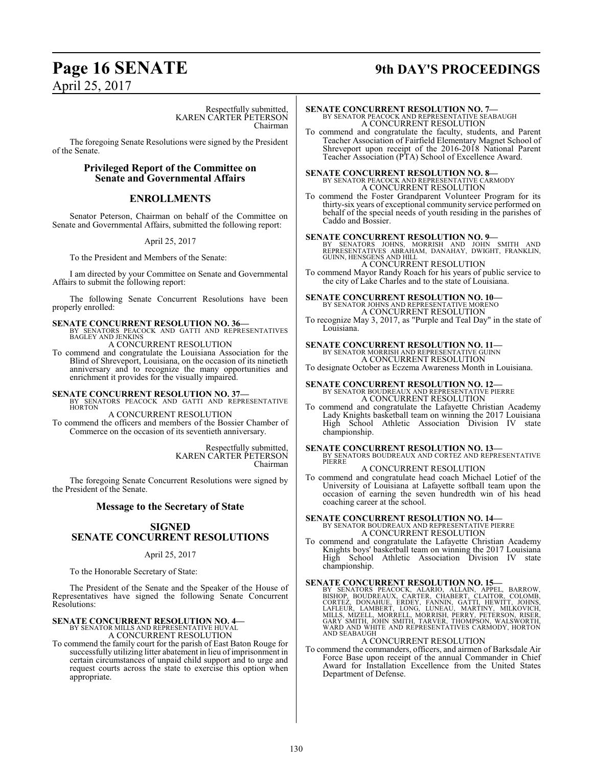# **Page 16 SENATE 9th DAY'S PROCEEDINGS**

Respectfully submitted, KAREN CARTER PETERSON Chairman

The foregoing Senate Resolutions were signed by the President of the Senate.

#### **Privileged Report of the Committee on Senate and Governmental Affairs**

### **ENROLLMENTS**

Senator Peterson, Chairman on behalf of the Committee on Senate and Governmental Affairs, submitted the following report:

April 25, 2017

To the President and Members of the Senate:

I am directed by your Committee on Senate and Governmental Affairs to submit the following report:

The following Senate Concurrent Resolutions have been properly enrolled:

#### **SENATE CONCURRENT RESOLUTION NO. 36—**

BY SENATORS PEACOCK AND GATTI AND REPRESENTATIVES BAGLEY AND JENKINS A CONCURRENT RESOLUTION

To commend and congratulate the Louisiana Association for the Blind of Shreveport, Louisiana, on the occasion of its ninetieth anniversary and to recognize the many opportunities and enrichment it provides for the visually impaired.

**SENATE CONCURRENT RESOLUTION NO. 37—BY SENATORS PEACOCK AND GATTI AND REPRESENTATIVE HORTON** 

A CONCURRENT RESOLUTION

To commend the officers and members of the Bossier Chamber of Commerce on the occasion of its seventieth anniversary.

> Respectfully submitted, KAREN CARTER PETERSON Chairman

The foregoing Senate Concurrent Resolutions were signed by the President of the Senate.

#### **Message to the Secretary of State**

### **SIGNED SENATE CONCURRENT RESOLUTIONS**

#### April 25, 2017

To the Honorable Secretary of State:

The President of the Senate and the Speaker of the House of Representatives have signed the following Senate Concurrent Resolutions:

#### **SENATE CONCURRENT RESOLUTION NO. 4—**

BY SENATOR MILLS AND REPRESENTATIVE HUVAL A CONCURRENT RESOLUTION

To commend the family court for the parish of East Baton Rouge for successfully utilizing litter abatement in lieu of imprisonment in certain circumstances of unpaid child support and to urge and request courts across the state to exercise this option when appropriate.

**SENATE CONCURRENT RESOLUTION NO. 7—** BY SENATOR PEACOCK AND REPRESENTATIVE SEABAUGH A CONCURRENT RESOLUTION

To commend and congratulate the faculty, students, and Parent Teacher Association of Fairfield Elementary Magnet School of Shreveport upon receipt of the 2016-2018 National Parent Teacher Association (PTA) School of Excellence Award.

**SENATE CONCURRENT RESOLUTION NO. 8—**<br>BY SENATOR PEACOCK AND REPRESENTATIVE CARMODY<br>A CONCURRENT RESOLUTION

To commend the Foster Grandparent Volunteer Program for its thirty-six years of exceptional community service performed on behalf of the special needs of youth residing in the parishes of Caddo and Bossier.

**SENATE CONCURRENT RESOLUTION NO. 9—**<br>
BY SENATORS JOHNS, MORRISH AND JOHN SMITH AND<br>
REPRESENTATIVES ABRAHAM, DANAHAY, DWIGHT, FRANKLIN,<br>
GUINN, HENSGENS AND HILL<br>
A CONCURRENT RESOLUTION

To commend Mayor Randy Roach for his years of public service to the city of Lake Charles and to the state of Louisiana.

# **SENATE CONCURRENT RESOLUTION NO. 10—**<br>BY SENATOR JOHNS AND REPRESENTATIVE MORENO<br>A CONCURRENT RESOLUTION

To recognize May 3, 2017, as "Purple and Teal Day" in the state of Louisiana.

### **SENATE CONCURRENT RESOLUTION NO. 11—** BY SENATOR MORRISH AND REPRESENTATIVE GUINN A CONCURRENT RESOLUTION

To designate October as Eczema Awareness Month in Louisiana.

**SENATE CONCURRENT RESOLUTION NO. 12—** BY SENATOR BOUDREAUX AND REPRESENTATIVE PIERRE A CONCURRENT RESOLUTION

To commend and congratulate the Lafayette Christian Academy Lady Knights basketball team on winning the 2017 Louisiana High School Athletic Association Division IV state championship.

**SENATE CONCURRENT RESOLUTION NO. 13—** BY SENATORS BOUDREAUX AND CORTEZ AND REPRESENTATIVE PIERRE

A CONCURRENT RESOLUTION To commend and congratulate head coach Michael Lotief of the University of Louisiana at Lafayette softball team upon the occasion of earning the seven hundredth win of his head coaching career at the school.

### **SENATE CONCURRENT RESOLUTION NO. 14—** BY SENATOR BOUDREAUX AND REPRESENTATIVE PIERRE A CONCURRENT RESOLUTION

To commend and congratulate the Lafayette Christian Academy Knights boys' basketball team on winning the 2017 Louisiana High School Athletic Association Division IV state championship.

#### **SENATE CONCURRENT RESOLUTION NO. 15—**

BY SENATORS PEACOCK, ALARIO, ALLAIN, APPEL, BARROW,<br>BISHOP, BOUDREAUX, CARTER, CHABERT, CLAITOR, COLOMB,<br>CORTEZ, DONAHUE, ERDEY, FANNIN, GATTI, HEWITT, JOHNS,<br>LAFLEUR, LAMBERT, LONG, LUNEAU, MARTINY, MILKOVICH,<br>MILLS, MIZE AND SEABAUGH

#### A CONCURRENT RESOLUTION

To commend the commanders, officers, and airmen of Barksdale Air Force Base upon receipt of the annual Commander in Chief Award for Installation Excellence from the United States Department of Defense.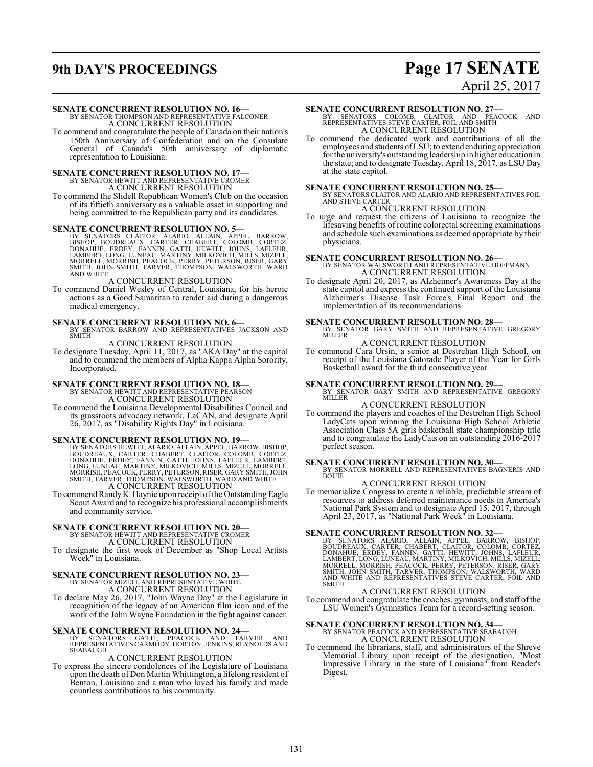# **9th DAY'S PROCEEDINGS Page 17 SENATE**

# April 25, 2017

#### **SENATE CONCURRENT RESOLUTION NO. 16—**

BY SENATOR THOMPSON AND REPRESENTATIVE FALCONER A CONCURRENT RESOLUTION

To commend and congratulate the people of Canada on their nation's 150th Anniversary of Confederation and on the Consulate General of Canada's 50th anniversary of diplomatic representation to Louisiana.

### **SENATE CONCURRENT RESOLUTION NO. 17—** BY SENATOR HEWITT AND REPRESENTATIVE CROMER A CONCURRENT RESOLUTION

To commend the Slidell Republican Women's Club on the occasion of its fiftieth anniversary as a valuable asset in supporting and being committed to the Republican party and its candidates.

**SENATE CONCURRENT RESOLUTION NO. 5—**<br>BY SENATORS CLAITOR, ALARIO, ALLAIN, APPEL, BARROW, BUSHOP, BOUDREAUX, CARTER, CHABERT, COLOMB, CORTEZ,<br>DONAHUE, ERDEY, FANNIN, GATTI, HEWITT, JOHNS, LAFLEUR,<br>LAMBERT, LONG, LUNEAU, MA

#### A CONCURRENT RESOLUTION

To commend Daniel Wesley of Central, Louisiana, for his heroic actions as a Good Samaritan to render aid during a dangerous medical emergency.

**SENATE CONCURRENT RESOLUTION NO. 6—**<br>BY SENATOR BARROW AND REPRESENTATIVES JACKSON AND SMITH

A CONCURRENT RESOLUTION To designate Tuesday, April 11, 2017, as "AKA Day" at the capitol and to commend the members of Alpha Kappa Alpha Sorority, Incorporated.

# **SENATE CONCURRENT RESOLUTION NO. 18—**<br>BY SENATOR HEWITT AND REPRESENTATIVE PEARSON<br>A CONCURRENT RESOLUTION

To commend the Louisiana Developmental Disabilities Council and its grassroots advocacy network, LaCAN, and designate April 26, 2017, as "Disability Rights Day" in Louisiana.

#### **SENATE CONCURRENT RESOLUTION NO. 19—**

BY SENATORS HEWITT, ALARIO, ALLAIN, APPEL, BARROW, BISHOP,<br>BOUDREAUX, CARTER, CHABERT, CLAITOR, COLOMB, CORTEZ,<br>DONAHUE, ERDEY, FANNIN, GATTI, JOHNS, LAFLEUR, LAMBERT,<br>LONG, LUNEAU, MARTINY, MILKOVICH, MILLS, MIZELL, MORRE A CONCURRENT RESOLUTION

To commend Randy K. Haynie upon receipt of the Outstanding Eagle Scout Award and to recognize his professional accomplishments and community service.

## **SENATE CONCURRENT RESOLUTION NO. 20—** BY SENATOR HEWITT AND REPRESENTATIVE CROMER

A CONCURRENT RESOLUTION

To designate the first week of December as "Shop Local Artists Week" in Louisiana.

# **SENATE CONCURRENT RESOLUTION NO. 23—** BY SENATOR MIZELL AND REPRESENTATIVE WHITE

A CONCURRENT RESOLUTION

To declare May 26, 2017, "John Wayne Day" at the Legislature in recognition of the legacy of an American film icon and of the work of the John Wayne Foundation in the fight against cancer.

#### **SENATE CONCURRENT RESOLUTION NO. 24—**

BY SENATORS GATTI, PEACOCK AND TARVER AND REPRESENTATIVES CARMODY, HORTON,JENKINS, REYNOLDS AND SEABAUGH

#### A CONCURRENT RESOLUTION

To express the sincere condolences of the Legislature of Louisiana upon the death of Don Martin Whittington, a lifelong resident of Benton, Louisiana and a man who loved his family and made countless contributions to his community.

#### **SENATE CONCURRENT RESOLUTION NO. 27—**

BY SENATORS COLOMB, CLAITOR AND PEACOCK AND REPRESENTATIVES STEVE CARTER, FOIL AND SMITH A CONCURRENT RESOLUTION

To commend the dedicated work and contributions of all the employees and students of LSU; to extend enduring appreciation for the university's outstanding leadership in higher education in the state; and to designate Tuesday, April 18, 2017, as LSU Day at the state capitol.

**SENATE CONCURRENT RESOLUTION NO. 25—**<br>BY SENATORS CLAITOR AND ALARIO AND REPRESENTATIVES FOIL<br>AND STEVE CARTER A CONCURRENT RESOLUTION

#### To urge and request the citizens of Louisiana to recognize the lifesaving benefits of routine colorectal screening examinations and schedule such examinations as deemed appropriate by their

physicians.

**SENATE CONCURRENT RESOLUTION NO. 26—**<br>BY SENATOR WALSWORTH AND REPRESENTATIVE HOFFMANN<br>A CONCURRENT RESOLUTION

To designate April 20, 2017, as Alzheimer's Awareness Day at the state capitol and express the continued support of the Louisiana Alzheimer's Disease Task Force's Final Report and the implementation of its recommendations.

# **SENATE CONCURRENT RESOLUTION NO. 28—**<br>BY SENATOR GARY SMITH AND REPRESENTATIVE GREGORY<br>MILLER

#### A CONCURRENT RESOLUTION

To commend Cara Ursin, a senior at Destrehan High School, on receipt of the Louisiana Gatorade Player of the Year for Girls Basketball award for the third consecutive year.

**SENATE CONCURRENT RESOLUTION NO. 29—**<br>BY SENATOR GARY SMITH AND REPRESENTATIVE GREGORY MILLER

### A CONCURRENT RESOLUTION

To commend the players and coaches of the Destrehan High School LadyCats upon winning the Louisiana High School Athletic Association Class 5A girls basketball state championship title and to congratulate the LadyCats on an outstanding 2016-2017 perfect season.

**SENATE CONCURRENT RESOLUTION NO. 30—**<br>BY SENATOR MORRELL AND REPRESENTATIVES BAGNERIS AND BOUIE

### A CONCURRENT RESOLUTION

To memorialize Congress to create a reliable, predictable stream of resources to address deferred maintenance needs in America's National Park System and to designate April 15, 2017, through April 23, 2017, as "National Park Week" in Louisiana.

SENATE CONCURRENT RESOLUTION NO. 32—<br>BY SENATORS ALARIO, ALLAIN, APPEL, BARROW, BISHOP,<br>BOUDREAUX, CARTER, CHABERT, CLAITOR, COLOMB, CORTEZ,<br>DONAHUE, ERDEY, FANNIN, GATTI, HEWITT, JOHNS, LAFLEUR,<br>LAMBERT, LONG, LUNEAU, MAR **SMITH** 

#### A CONCURRENT RESOLUTION

To commend and congratulate the coaches, gymnasts, and staff ofthe LSU Women's Gymnastics Team for a record-setting season.

# **SENATE CONCURRENT RESOLUTION NO. 34—** BY SENATOR PEACOCK AND REPRESENTATIVE SEABAUGH

A CONCURRENT RESOLUTION

To commend the librarians, staff, and administrators of the Shreve Memorial Library upon receipt of the designation, "Most Impressive Library in the state of Louisiana" from Reader's Digest.